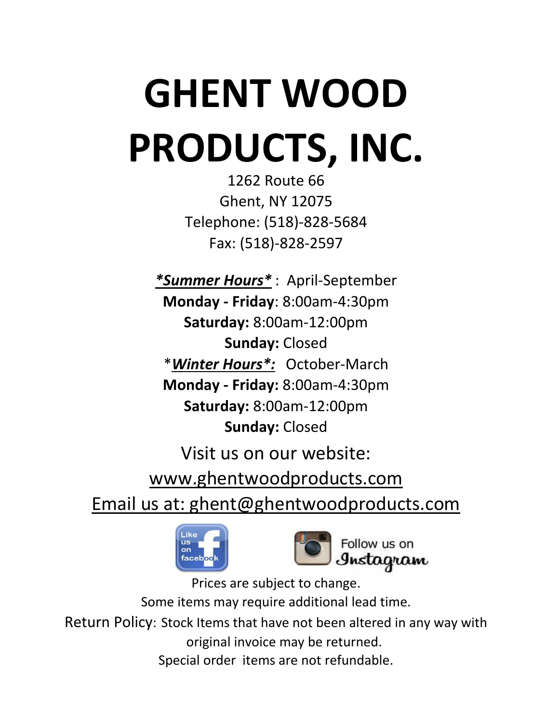# **GHENT WOOD PRODUCTS, INC.**

1262 Route 66 Ghent, NY 12075 Telephone: (518)-828-5684 Fax: (518)-828-2597

*\*Summer Hours\** : April-September **Monday - Friday**: 8:00am-4:30pm **Saturday:** 8:00am-12:00pm **Sunday:** Closed \**Winter Hours\*:* October-March **Monday - Friday:** 8:00am-4:30pm **Saturday:** 8:00am-12:00pm **Sunday:** Closed

Visit us on our website: www.ghentwoodproducts.com Email us at: ghent@ghentwoodproducts.com





Prices are subject to change. Some items may require additional lead time. Return Policy: Stock Items that have not been altered in any way with original invoice may be returned. Special order items are not refundable.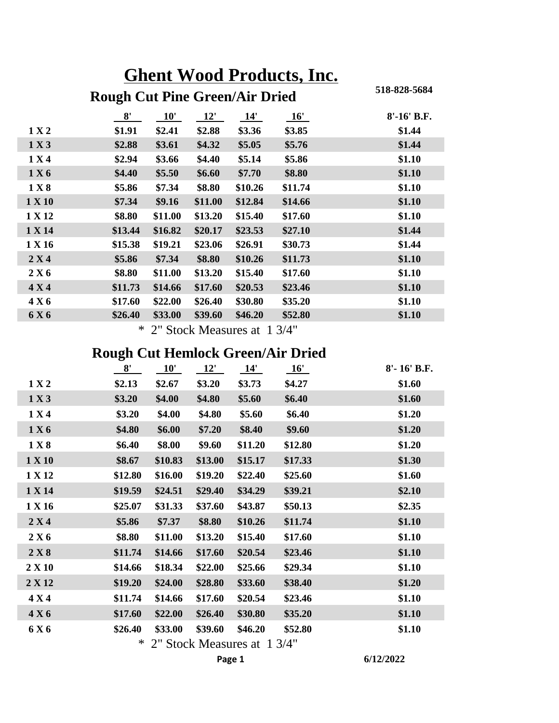| <b>Ghent Wood Products, Inc.</b> |                                       |              |         |         |         |                 |  |  |  |
|----------------------------------|---------------------------------------|--------------|---------|---------|---------|-----------------|--|--|--|
|                                  | <b>Rough Cut Pine Green/Air Dried</b> |              |         |         |         | 518-828-5684    |  |  |  |
|                                  | 8'                                    | $10^{\circ}$ | 12'     | 14'     | 16'     | $8' - 16' B.F.$ |  |  |  |
| 1 X 2                            | \$1.91                                | \$2.41       | \$2.88  | \$3.36  | \$3.85  | \$1.44          |  |  |  |
| 1 X 3                            | \$2.88                                | \$3.61       | \$4.32  | \$5.05  | \$5.76  | \$1.44          |  |  |  |
| 1 X 4                            | \$2.94                                | \$3.66       | \$4.40  | \$5.14  | \$5.86  | \$1.10          |  |  |  |
| 1 X 6                            | \$4.40                                | \$5.50       | \$6.60  | \$7.70  | \$8.80  | \$1.10          |  |  |  |
| 1 X 8                            | \$5.86                                | \$7.34       | \$8.80  | \$10.26 | \$11.74 | \$1.10          |  |  |  |
| 1 X 10                           | \$7.34                                | \$9.16       | \$11.00 | \$12.84 | \$14.66 | \$1.10          |  |  |  |
| 1 X 12                           | \$8.80                                | \$11.00      | \$13.20 | \$15.40 | \$17.60 | \$1.10          |  |  |  |
| 1 X 14                           | \$13.44                               | \$16.82      | \$20.17 | \$23.53 | \$27.10 | \$1.44          |  |  |  |
| 1 X 16                           | \$15.38                               | \$19.21      | \$23.06 | \$26.91 | \$30.73 | \$1.44          |  |  |  |
| 2 X 4                            | \$5.86                                | \$7.34       | \$8.80  | \$10.26 | \$11.73 | \$1.10          |  |  |  |
| 2 X 6                            | \$8.80                                | \$11.00      | \$13.20 | \$15.40 | \$17.60 | \$1.10          |  |  |  |
| 4 X 4                            | \$11.73                               | \$14.66      | \$17.60 | \$20.53 | \$23.46 | \$1.10          |  |  |  |
| 4 X 6                            | \$17.60                               | \$22.00      | \$26.40 | \$30.80 | \$35.20 | \$1.10          |  |  |  |
| 6 X 6                            | \$26.40                               | \$33.00      | \$39.60 | \$46.20 | \$52.80 | \$1.10          |  |  |  |

\* 2" Stock Measures at 1 3/4"

### **Rough Cut Hemlock Green/Air Dried**

|        | $\frac{8}{ }$ | 10'     | 12'     | 14'     | 16'     | 8'-16' B.F. |
|--------|---------------|---------|---------|---------|---------|-------------|
| 1 X 2  | \$2.13        | \$2.67  | \$3.20  | \$3.73  | \$4.27  | \$1.60      |
| 1 X 3  | \$3.20        | \$4.00  | \$4.80  | \$5.60  | \$6.40  | \$1.60      |
| 1 X 4  | \$3.20        | \$4.00  | \$4.80  | \$5.60  | \$6.40  | \$1.20      |
| 1 X 6  | \$4.80        | \$6.00  | \$7.20  | \$8.40  | \$9.60  | \$1.20      |
| 1 X 8  | \$6.40        | \$8.00  | \$9.60  | \$11.20 | \$12.80 | \$1.20      |
| 1 X 10 | \$8.67        | \$10.83 | \$13.00 | \$15.17 | \$17.33 | \$1.30      |
| 1 X 12 | \$12.80       | \$16.00 | \$19.20 | \$22.40 | \$25.60 | \$1.60      |
| 1 X 14 | \$19.59       | \$24.51 | \$29.40 | \$34.29 | \$39.21 | \$2.10      |
| 1 X 16 | \$25.07       | \$31.33 | \$37.60 | \$43.87 | \$50.13 | \$2.35      |
| 2 X 4  | \$5.86        | \$7.37  | \$8.80  | \$10.26 | \$11.74 | \$1.10      |
| 2 X 6  | \$8.80        | \$11.00 | \$13.20 | \$15.40 | \$17.60 | \$1.10      |
| 2 X 8  | \$11.74       | \$14.66 | \$17.60 | \$20.54 | \$23.46 | \$1.10      |
| 2 X 10 | \$14.66       | \$18.34 | \$22.00 | \$25.66 | \$29.34 | \$1.10      |
| 2 X 12 | \$19.20       | \$24.00 | \$28.80 | \$33.60 | \$38.40 | \$1.20      |
| 4 X 4  | \$11.74       | \$14.66 | \$17.60 | \$20.54 | \$23.46 | \$1.10      |
| 4 X 6  | \$17.60       | \$22.00 | \$26.40 | \$30.80 | \$35.20 | \$1.10      |
| 6 X 6  | \$26.40       | \$33.00 | \$39.60 | \$46.20 | \$52.80 | \$1.10      |
|        |               |         |         |         |         |             |

\* 2" Stock Measures at 1 3/4"

**Page 1 6/12/2022**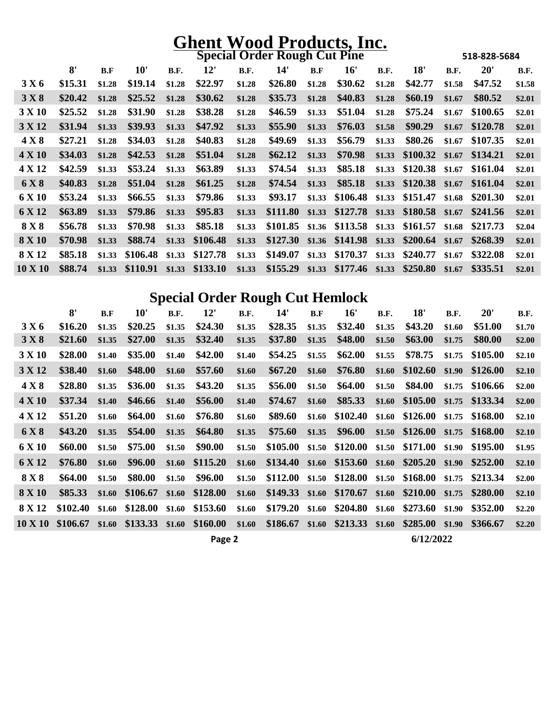| <b>Special Order Rough Cut Pine</b> |         |        |          |             |                                        |             |          |        |                                                          |             |                                 | 518-828-5684 |              |             |
|-------------------------------------|---------|--------|----------|-------------|----------------------------------------|-------------|----------|--------|----------------------------------------------------------|-------------|---------------------------------|--------------|--------------|-------------|
|                                     | 8'      | B.F    | 10'      | <b>B.F.</b> | 12'                                    | <b>B.F.</b> | 14'      | B.F    | 16'                                                      | <b>B.F.</b> | 18'                             | <b>B.F.</b>  | $20^{\circ}$ | <b>B.F.</b> |
| 3 X 6                               | \$15.31 | \$1.28 | \$19.14  | \$1.28      | \$22.97                                | \$1.28      | \$26.80  | \$1.28 | \$30.62                                                  | \$1.28      | \$42.77                         | \$1.58       | \$47.52      | \$1.58      |
| 3 X 8                               | \$20.42 | \$1.28 | \$25.52  | \$1.28      | \$30.62                                | \$1.28      | \$35.73  | \$1.28 | \$40.83                                                  | \$1.28      | \$60.19                         | \$1.67       | \$80.52      | \$2.01      |
| 3 X 10                              | \$25.52 | \$1.28 | \$31.90  | \$1.28      | \$38.28                                | \$1.28      | \$46.59  | \$1.33 | \$51.04                                                  | \$1.28      | \$75.24                         | \$1.67       | \$100.65     | \$2.01      |
| 3 X 12                              | \$31.94 | \$1.33 | \$39.93  | \$1.33      | \$47.92                                | \$1.33      | \$55.90  | \$1.33 | \$76.03                                                  | \$1.58      | \$90.29                         | \$1.67       | \$120.78     | \$2.01      |
| 4 X 8                               | \$27.21 | \$1.28 | \$34.03  | \$1.28      | \$40.83                                | \$1.28      | \$49.69  | \$1.33 | \$56.79                                                  | \$1.33      | \$80.26                         | \$1.67       | \$107.35     | \$2.01      |
| 4 X 10                              | \$34.03 | \$1.28 | \$42.53  | \$1.28      | \$51.04                                | \$1.28      | \$62.12  | \$1.33 | \$70.98                                                  |             | $$1.33$ $$100.32$               | \$1.67       | \$134.21     | \$2.01      |
| 4 X 12                              | \$42.59 | \$1.33 | \$53.24  | \$1.33      | \$63.89                                | \$1.33      | \$74.54  | \$1.33 | \$85.18                                                  |             | \$1.33 \$120.38 \$1.67 \$161.04 |              |              | \$2.01      |
| 6 X 8                               | \$40.83 | \$1.28 | \$51.04  | \$1.28      | \$61.25                                | \$1.28      | \$74.54  | \$1.33 | \$85.18                                                  |             | \$1.33 \$120.38 \$1.67 \$161.04 |              |              | \$2.01      |
| 6 X 10                              | \$53.24 | \$1.33 | \$66.55  | \$1.33      | \$79.86                                | \$1.33      | \$93.17  | \$1.33 |                                                          |             | $$106.48$ \$1.33 \$151.47       | \$1.68       | \$201.30     | \$2.01      |
| 6 X 12                              | \$63.89 | \$1.33 | \$79.86  | \$1.33      | \$95.83                                | \$1.33      | \$111.80 |        | \$1.33 \$127.78 \$1.33 \$180.58 \$1.67 \$241.56          |             |                                 |              |              | \$2.01      |
| 8 X 8                               | \$56.78 | \$1.33 | \$70.98  | \$1.33      | \$85.18                                | \$1.33      |          |        | \$101.85 \$1.36 \$113.58 \$1.33 \$161.57                 |             |                                 | \$1.68       | \$217.73     | \$2.04      |
| 8 X 10                              | \$70.98 | \$1.33 | \$88.74  | \$1.33      | \$106.48                               | \$1.33      |          |        | $$127.30$ \$1.36 \$141.98 \$1.33 \$200.64                |             |                                 | \$1.67       | \$268.39     | \$2.01      |
| <b>8 X 12</b>                       | \$85.18 | \$1.33 | \$106.48 |             | $$1.33$ $$127.78$                      | \$1.33      | \$149.07 |        | \$1.33 \$170.37 \$1.33 \$240.77                          |             |                                 | \$1.67       | \$322.08     | \$2.01      |
| $10 \times 10$                      | \$88.74 |        |          |             | \$1.33 \$110.91 \$1.33 \$133.10 \$1.33 |             |          |        | \$155.29 \$1.33 \$177.46 \$1.33 \$250.80 \$1.67 \$335.51 |             |                                 |              |              | \$2.01      |

### **Special Order Rough Cut Hemlock**

|                | 8'               | B.F    | 10'      | B.F.   | 12'                         | B.F.   | 14'      | B.F    | 16'                                             | B.F.   | 18'                       | B.F.   | 20'      | <b>B.F.</b> |
|----------------|------------------|--------|----------|--------|-----------------------------|--------|----------|--------|-------------------------------------------------|--------|---------------------------|--------|----------|-------------|
| 3 X 6          | \$16.20          | \$1.35 | \$20.25  | \$1.35 | \$24.30                     | \$1.35 | \$28.35  | \$1.35 | \$32.40                                         | \$1.35 | \$43.20                   | \$1.60 | \$51.00  | \$1.70      |
| 3 X 8          | \$21.60          | \$1.35 | \$27.00  | \$1.35 | \$32.40                     | \$1.35 | \$37.80  | \$1.35 | \$48.00                                         | \$1.50 | \$63.00                   | \$1.75 | \$80.00  | \$2.00      |
| 3 X 10         | \$28.00          | \$1.40 | \$35.00  | \$1.40 | \$42.00                     | \$1.40 | \$54.25  | \$1.55 | \$62.00                                         | \$1.55 | \$78.75                   | \$1.75 | \$105.00 | \$2.10      |
| 3 X 12         | \$38.40          | \$1.60 | \$48.00  | \$1.60 | \$57.60                     | \$1.60 | \$67.20  | \$1.60 | \$76.80                                         | \$1.60 | \$102.60                  | \$1.90 | \$126.00 | \$2.10      |
| 4 X 8          | \$28.80          | \$1.35 | \$36.00  | \$1.35 | \$43.20                     | \$1.35 | \$56.00  | \$1.50 | \$64.00                                         | \$1.50 | \$84.00                   | \$1.75 | \$106.66 | \$2.00      |
| <b>4 X 10</b>  | \$37.34          | \$1.40 | \$46.66  | \$1.40 | \$56.00                     | \$1.40 | \$74.67  | \$1.60 | \$85.33                                         |        | $$1.60$ $$105.00$ $$1.75$ |        | \$133.34 | \$2.00      |
| 4 X 12         | \$51.20          | \$1.60 | \$64.00  | \$1.60 | \$76.80                     | \$1.60 | \$89.60  | \$1.60 | \$102.40                                        |        | $$1.60$ $$126.00$         | \$1.75 | \$168.00 | \$2.10      |
| 6 X 8          | \$43.20          | \$1.35 | \$54.00  | \$1.35 | \$64.80                     | \$1.35 | \$75.60  | \$1.35 | \$96.00                                         |        | $$1.50$ $$126.00$         | \$1.75 | \$168.00 | \$2.10      |
| 6 X 10         | \$60.00          | \$1.50 | \$75.00  | \$1.50 | \$90.00                     | \$1.50 | \$105.00 | \$1.50 |                                                 |        | $$120.00$ \$1.50 \$171.00 | \$1.90 | \$195.00 | \$1.95      |
| 6 X 12         | \$76.80          | \$1.60 | \$96.00  | \$1.60 | \$115.20                    | \$1.60 | \$134.40 |        | $$1.60$ $$153.60$ $$1.60$ $$205.20$             |        |                           | \$1.90 | \$252.00 | \$2.10      |
| 8 X 8          | \$64.00          | \$1.50 | \$80.00  | \$1.50 | \$96.00                     | \$1.50 |          |        | \$112.00 \$1.50 \$128.00 \$1.50 \$168.00 \$1.75 |        |                           |        | \$213.34 | \$2.00      |
| <b>8 X 10</b>  | \$85.33          | \$1.60 | \$106.67 |        | $$1.60$ \$128.00            | \$1.60 |          |        | $$149.33$ \$1.60 \$170.67 \$1.60 \$210.00       |        |                           | \$1.75 | \$280.00 | \$2.10      |
| <b>8 X 12</b>  | \$102.40         | \$1.60 | \$128.00 |        | $$1.60$ $$153.60$           | \$1.60 |          |        | $$179.20$ \$1.60 \$204.80                       |        | $$1.60$ $$273.60$         | \$1.90 | \$352.00 | \$2.20      |
| <b>10 X 10</b> | $$106.67$ \$1.60 |        |          |        | $$133.33$ $$1.60$ $$160.00$ | \$1.60 |          |        | \$186.67 \$1.60 \$213.33 \$1.60 \$285.00 \$1.90 |        |                           |        | \$366.67 | \$2.20      |
|                |                  |        |          |        | Page 2                      |        |          |        |                                                 |        | 6/12/2022                 |        |          |             |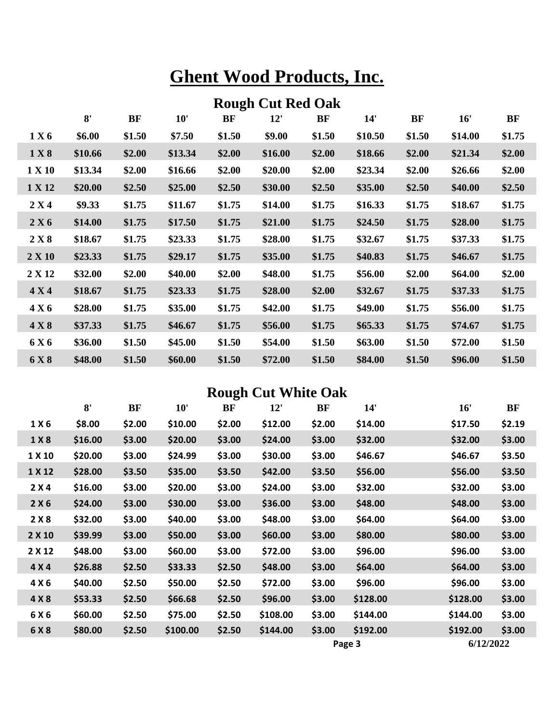|        | <b>Rough Cut Red Oak</b> |           |         |        |         |        |         |           |         |        |  |  |  |
|--------|--------------------------|-----------|---------|--------|---------|--------|---------|-----------|---------|--------|--|--|--|
|        | 8'                       | <b>BF</b> | 10'     | BF     | 12'     | BF     | 14'     | <b>BF</b> | 16'     | BF     |  |  |  |
| 1 X 6  | \$6.00                   | \$1.50    | \$7.50  | \$1.50 | \$9.00  | \$1.50 | \$10.50 | \$1.50    | \$14.00 | \$1.75 |  |  |  |
| 1 X 8  | \$10.66                  | \$2.00    | \$13.34 | \$2.00 | \$16.00 | \$2.00 | \$18.66 | \$2.00    | \$21.34 | \$2.00 |  |  |  |
| 1 X 10 | \$13.34                  | \$2.00    | \$16.66 | \$2.00 | \$20.00 | \$2.00 | \$23.34 | \$2.00    | \$26.66 | \$2.00 |  |  |  |
| 1 X 12 | \$20.00                  | \$2.50    | \$25.00 | \$2.50 | \$30.00 | \$2.50 | \$35.00 | \$2.50    | \$40.00 | \$2.50 |  |  |  |
| 2 X 4  | \$9.33                   | \$1.75    | \$11.67 | \$1.75 | \$14.00 | \$1.75 | \$16.33 | \$1.75    | \$18.67 | \$1.75 |  |  |  |
| 2 X 6  | \$14.00                  | \$1.75    | \$17.50 | \$1.75 | \$21.00 | \$1.75 | \$24.50 | \$1.75    | \$28.00 | \$1.75 |  |  |  |
| 2 X 8  | \$18.67                  | \$1.75    | \$23.33 | \$1.75 | \$28.00 | \$1.75 | \$32.67 | \$1.75    | \$37.33 | \$1.75 |  |  |  |
| 2 X 10 | \$23.33                  | \$1.75    | \$29.17 | \$1.75 | \$35.00 | \$1.75 | \$40.83 | \$1.75    | \$46.67 | \$1.75 |  |  |  |
| 2 X 12 | \$32.00                  | \$2.00    | \$40.00 | \$2.00 | \$48.00 | \$1.75 | \$56.00 | \$2.00    | \$64.00 | \$2.00 |  |  |  |
| 4 X 4  | \$18.67                  | \$1.75    | \$23.33 | \$1.75 | \$28.00 | \$2.00 | \$32.67 | \$1.75    | \$37.33 | \$1.75 |  |  |  |
| 4 X 6  | \$28.00                  | \$1.75    | \$35.00 | \$1.75 | \$42.00 | \$1.75 | \$49.00 | \$1.75    | \$56.00 | \$1.75 |  |  |  |
| 4 X 8  | \$37.33                  | \$1.75    | \$46.67 | \$1.75 | \$56.00 | \$1.75 | \$65.33 | \$1.75    | \$74.67 | \$1.75 |  |  |  |
| 6 X 6  | \$36.00                  | \$1.50    | \$45.00 | \$1.50 | \$54.00 | \$1.50 | \$63.00 | \$1.50    | \$72.00 | \$1.50 |  |  |  |
| 6 X 8  | \$48.00                  | \$1.50    | \$60.00 | \$1.50 | \$72.00 | \$1.50 | \$84.00 | \$1.50    | \$96.00 | \$1.50 |  |  |  |

### **Rough Cut White Oak**

|        | 8'      | BF     | 10'      | BF     | 12'      | BF     | 14'      | 16'       | BF     |
|--------|---------|--------|----------|--------|----------|--------|----------|-----------|--------|
| 1 X 6  | \$8.00  | \$2.00 | \$10.00  | \$2.00 | \$12.00  | \$2.00 | \$14.00  | \$17.50   | \$2.19 |
| 1 X 8  | \$16.00 | \$3.00 | \$20.00  | \$3.00 | \$24.00  | \$3.00 | \$32.00  | \$32.00   | \$3.00 |
| 1 X 10 | \$20.00 | \$3.00 | \$24.99  | \$3.00 | \$30.00  | \$3.00 | \$46.67  | \$46.67   | \$3.50 |
| 1 X 12 | \$28.00 | \$3.50 | \$35.00  | \$3.50 | \$42.00  | \$3.50 | \$56.00  | \$56.00   | \$3.50 |
| 2 X 4  | \$16.00 | \$3.00 | \$20.00  | \$3.00 | \$24.00  | \$3.00 | \$32.00  | \$32.00   | \$3.00 |
| 2X6    | \$24.00 | \$3.00 | \$30.00  | \$3.00 | \$36.00  | \$3.00 | \$48.00  | \$48.00   | \$3.00 |
| 2X8    | \$32.00 | \$3.00 | \$40.00  | \$3.00 | \$48.00  | \$3.00 | \$64.00  | \$64.00   | \$3.00 |
| 2 X 10 | \$39.99 | \$3.00 | \$50.00  | \$3.00 | \$60.00  | \$3.00 | \$80.00  | \$80.00   | \$3.00 |
| 2 X 12 | \$48.00 | \$3.00 | \$60.00  | \$3.00 | \$72.00  | \$3.00 | \$96.00  | \$96.00   | \$3.00 |
| 4 X 4  | \$26.88 | \$2.50 | \$33.33  | \$2.50 | \$48.00  | \$3.00 | \$64.00  | \$64.00   | \$3.00 |
| 4 X 6  | \$40.00 | \$2.50 | \$50.00  | \$2.50 | \$72.00  | \$3.00 | \$96.00  | \$96.00   | \$3.00 |
| 4 X 8  | \$53.33 | \$2.50 | \$66.68  | \$2.50 | \$96.00  | \$3.00 | \$128.00 | \$128.00  | \$3.00 |
| 6 X 6  | \$60.00 | \$2.50 | \$75.00  | \$2.50 | \$108.00 | \$3.00 | \$144.00 | \$144.00  | \$3.00 |
| 6 X 8  | \$80.00 | \$2.50 | \$100.00 | \$2.50 | \$144.00 | \$3.00 | \$192.00 | \$192.00  | \$3.00 |
|        |         |        |          |        |          |        | Page 3   | 6/12/2022 |        |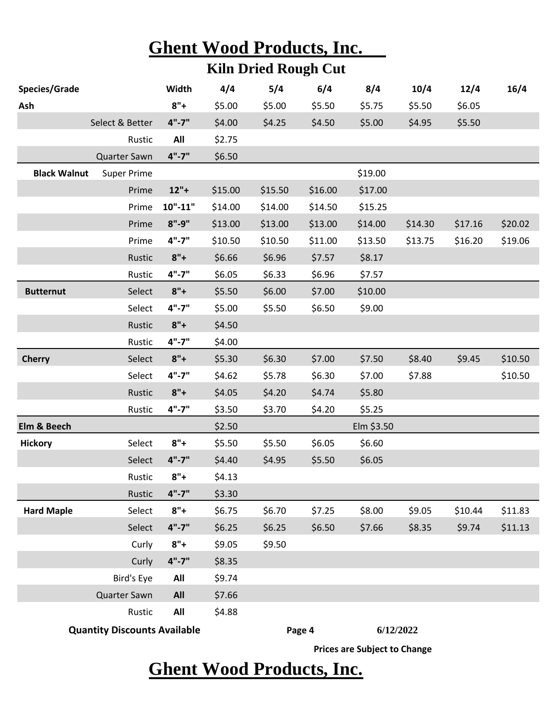|                     | <b>Ghent Wood Products, Inc.</b>    |             |                                  |                             |         |                                     |         |         |         |
|---------------------|-------------------------------------|-------------|----------------------------------|-----------------------------|---------|-------------------------------------|---------|---------|---------|
|                     |                                     |             |                                  | <b>Kiln Dried Rough Cut</b> |         |                                     |         |         |         |
| Species/Grade       |                                     | Width       | 4/4                              | 5/4                         | 6/4     | 8/4                                 | 10/4    | 12/4    | 16/4    |
| Ash                 |                                     | $8"+$       | \$5.00                           | \$5.00                      | \$5.50  | \$5.75                              | \$5.50  | \$6.05  |         |
|                     | Select & Better                     | $4" - 7"$   | \$4.00                           | \$4.25                      | \$4.50  | \$5.00                              | \$4.95  | \$5.50  |         |
|                     | Rustic                              | All         | \$2.75                           |                             |         |                                     |         |         |         |
|                     | Quarter Sawn                        | $4" - 7"$   | \$6.50                           |                             |         |                                     |         |         |         |
| <b>Black Walnut</b> | <b>Super Prime</b>                  |             |                                  |                             |         | \$19.00                             |         |         |         |
|                     | Prime                               | $12"+$      | \$15.00                          | \$15.50                     | \$16.00 | \$17.00                             |         |         |         |
|                     | Prime                               | $10" - 11"$ | \$14.00                          | \$14.00                     | \$14.50 | \$15.25                             |         |         |         |
|                     | Prime                               | $8" - 9"$   | \$13.00                          | \$13.00                     | \$13.00 | \$14.00                             | \$14.30 | \$17.16 | \$20.02 |
|                     | Prime                               | $4" - 7"$   | \$10.50                          | \$10.50                     | \$11.00 | \$13.50                             | \$13.75 | \$16.20 | \$19.06 |
|                     | Rustic                              | $8"+$       | \$6.66                           | \$6.96                      | \$7.57  | \$8.17                              |         |         |         |
|                     | Rustic                              | $4" - 7"$   | \$6.05                           | \$6.33                      | \$6.96  | \$7.57                              |         |         |         |
| <b>Butternut</b>    | Select                              | $8"+$       | \$5.50                           | \$6.00                      | \$7.00  | \$10.00                             |         |         |         |
|                     | Select                              | $4" - 7"$   | \$5.00                           | \$5.50                      | \$6.50  | \$9.00                              |         |         |         |
|                     | Rustic                              | $8"+$       | \$4.50                           |                             |         |                                     |         |         |         |
|                     | Rustic                              | $4" - 7"$   | \$4.00                           |                             |         |                                     |         |         |         |
| <b>Cherry</b>       | Select                              | $8"+$       | \$5.30                           | \$6.30                      | \$7.00  | \$7.50                              | \$8.40  | \$9.45  | \$10.50 |
|                     | Select                              | $4" - 7"$   | \$4.62                           | \$5.78                      | \$6.30  | \$7.00                              | \$7.88  |         | \$10.50 |
|                     | Rustic                              | $8"+$       | \$4.05                           | \$4.20                      | \$4.74  | \$5.80                              |         |         |         |
|                     | Rustic                              | $4" - 7"$   | \$3.50                           | \$3.70                      | \$4.20  | \$5.25                              |         |         |         |
| Elm & Beech         |                                     |             | \$2.50                           |                             |         | Elm \$3.50                          |         |         |         |
| <b>Hickory</b>      | Select                              | $8"+$       | \$5.50                           | \$5.50                      | \$6.05  | \$6.60                              |         |         |         |
|                     | Select                              | $4" - 7"$   | \$4.40                           | \$4.95                      | \$5.50  | \$6.05                              |         |         |         |
|                     | Rustic                              | $8"+$       | \$4.13                           |                             |         |                                     |         |         |         |
|                     | Rustic                              | $4" - 7"$   | \$3.30                           |                             |         |                                     |         |         |         |
| <b>Hard Maple</b>   | Select                              | $8"+$       | \$6.75                           | \$6.70                      | \$7.25  | \$8.00                              | \$9.05  | \$10.44 | \$11.83 |
|                     | Select                              | $4" - 7"$   | \$6.25                           | \$6.25                      | \$6.50  | \$7.66                              | \$8.35  | \$9.74  | \$11.13 |
|                     | Curly                               | $8"+$       | \$9.05                           | \$9.50                      |         |                                     |         |         |         |
|                     | Curly                               | $4" - 7"$   | \$8.35                           |                             |         |                                     |         |         |         |
|                     | Bird's Eye                          | All         | \$9.74                           |                             |         |                                     |         |         |         |
|                     | Quarter Sawn                        | All         | \$7.66                           |                             |         |                                     |         |         |         |
|                     | Rustic                              | All         | \$4.88                           |                             |         |                                     |         |         |         |
|                     | <b>Quantity Discounts Available</b> |             |                                  |                             | Page 4  | 6/12/2022                           |         |         |         |
|                     |                                     |             |                                  |                             |         | <b>Prices are Subject to Change</b> |         |         |         |
|                     |                                     |             | <b>Ghent Wood Products, Inc.</b> |                             |         |                                     |         |         |         |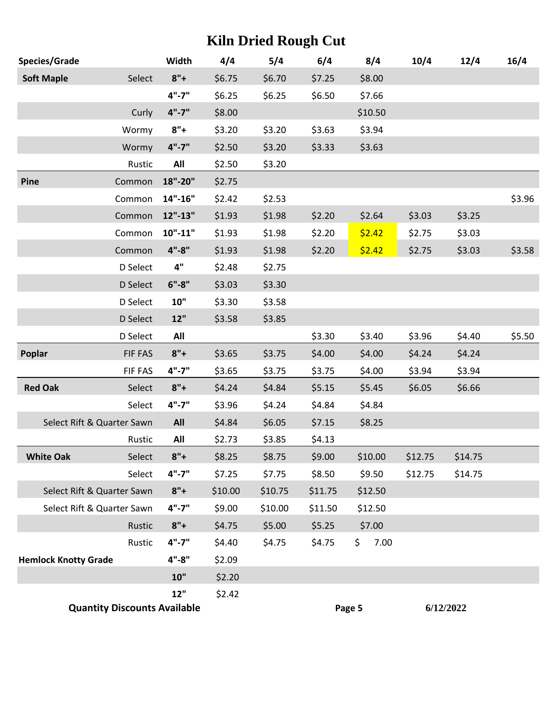### **Kiln Dried Rough Cut**

| Species/Grade                       | Width       | 4/4     | 5/4     | 6/4     | 8/4        | 10/4    | 12/4      | 16/4   |
|-------------------------------------|-------------|---------|---------|---------|------------|---------|-----------|--------|
| <b>Soft Maple</b><br>Select         | $8"+$       | \$6.75  | \$6.70  | \$7.25  | \$8.00     |         |           |        |
|                                     | $4" - 7"$   | \$6.25  | \$6.25  | \$6.50  | \$7.66     |         |           |        |
| Curly                               | $4" - 7"$   | \$8.00  |         |         | \$10.50    |         |           |        |
| Wormy                               | $8"+$       | \$3.20  | \$3.20  | \$3.63  | \$3.94     |         |           |        |
| Wormy                               | $4" - 7"$   | \$2.50  | \$3.20  | \$3.33  | \$3.63     |         |           |        |
| Rustic                              | All         | \$2.50  | \$3.20  |         |            |         |           |        |
| Common<br>Pine                      | 18"-20"     | \$2.75  |         |         |            |         |           |        |
| Common                              | $14" - 16"$ | \$2.42  | \$2.53  |         |            |         |           | \$3.96 |
| Common                              | $12" - 13"$ | \$1.93  | \$1.98  | \$2.20  | \$2.64     | \$3.03  | \$3.25    |        |
| Common                              | $10" - 11"$ | \$1.93  | \$1.98  | \$2.20  | \$2.42     | \$2.75  | \$3.03    |        |
| Common                              | $4" - 8"$   | \$1.93  | \$1.98  | \$2.20  | \$2.42     | \$2.75  | \$3.03    | \$3.58 |
| D Select                            | $4"$        | \$2.48  | \$2.75  |         |            |         |           |        |
| D Select                            | $6" - 8"$   | \$3.03  | \$3.30  |         |            |         |           |        |
| D Select                            | 10"         | \$3.30  | \$3.58  |         |            |         |           |        |
| D Select                            | 12"         | \$3.58  | \$3.85  |         |            |         |           |        |
| D Select                            | All         |         |         | \$3.30  | \$3.40     | \$3.96  | \$4.40    | \$5.50 |
| Poplar<br>FIF FAS                   | $8"+$       | \$3.65  | \$3.75  | \$4.00  | \$4.00     | \$4.24  | \$4.24    |        |
| FIF FAS                             | $4" - 7"$   | \$3.65  | \$3.75  | \$3.75  | \$4.00     | \$3.94  | \$3.94    |        |
| <b>Red Oak</b><br>Select            | $8"+$       | \$4.24  | \$4.84  | \$5.15  | \$5.45     | \$6.05  | \$6.66    |        |
| Select                              | $4" - 7"$   | \$3.96  | \$4.24  | \$4.84  | \$4.84     |         |           |        |
| Select Rift & Quarter Sawn          | All         | \$4.84  | \$6.05  | \$7.15  | \$8.25     |         |           |        |
| Rustic                              | All         | \$2.73  | \$3.85  | \$4.13  |            |         |           |        |
| <b>White Oak</b><br>Select          | $8"+$       | \$8.25  | \$8.75  | \$9.00  | \$10.00    | \$12.75 | \$14.75   |        |
| Select                              | $4" - 7"$   | \$7.25  | \$7.75  | \$8.50  | \$9.50     | \$12.75 | \$14.75   |        |
| Select Rift & Quarter Sawn          | $8"+$       | \$10.00 | \$10.75 | \$11.75 | \$12.50    |         |           |        |
| Select Rift & Quarter Sawn          | $4" - 7"$   | \$9.00  | \$10.00 | \$11.50 | \$12.50    |         |           |        |
| Rustic                              | $8"+$       | \$4.75  | \$5.00  | \$5.25  | \$7.00     |         |           |        |
| Rustic                              | $4" - 7"$   | \$4.40  | \$4.75  | \$4.75  | \$<br>7.00 |         |           |        |
| <b>Hemlock Knotty Grade</b>         | $4" - 8"$   | \$2.09  |         |         |            |         |           |        |
|                                     | 10"         | \$2.20  |         |         |            |         |           |        |
|                                     | 12"         | \$2.42  |         |         |            |         |           |        |
| <b>Quantity Discounts Available</b> |             |         |         |         | Page 5     |         | 6/12/2022 |        |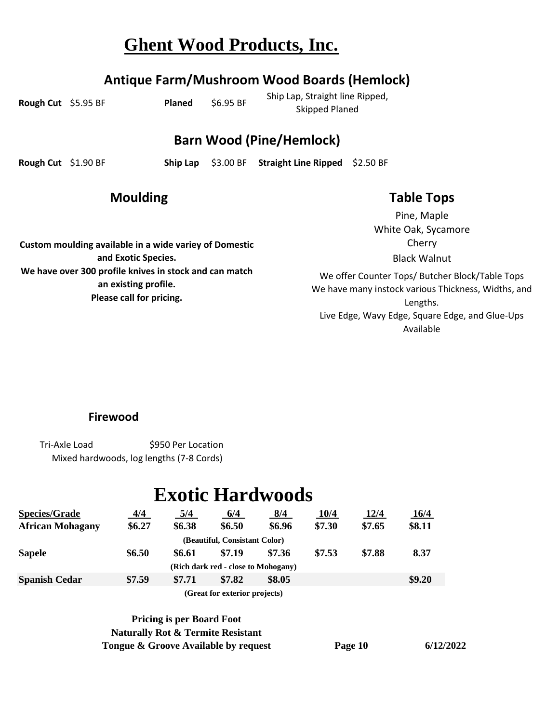#### **Antique Farm/Mushroom Wood Boards (Hemlock)**

**Rough Cut** \$5.95 BF **Planed** \$6.95 BF

Ship Lap, Straight line Ripped, Skipped Planed

#### **Barn Wood (Pine/Hemlock)**

**Rough Cut** \$1.90 BF **Ship Lap** \$3.00 BF **Straight Line Ripped** \$2.50 BF

#### **Moulding**

**Custom moulding available in a wide variey of Domestic and Exotic Species. We have over 300 profile knives in stock and can match an existing profile. Please call for pricing.**

#### **Table Tops**

White Oak, Sycamore Cherry Pine, Maple Black Walnut

We offer Counter Tops/ Butcher Block/Table Tops We have many instock various Thickness, Widths, and Lengths. Live Edge, Wavy Edge, Square Edge, and Glue-Ups Available

**Firewood**

\$950 Per Location Tri-Axle Load Mixed hardwoods, log lengths (7-8 Cords)

## **Exotic Hardwoods**

| <b>Species/Grade</b>    | <u>4/4</u> | 5/4    | 6/4                                 | 8/4    | 10/4   | <u>12/4</u> | <u>16/4</u> |
|-------------------------|------------|--------|-------------------------------------|--------|--------|-------------|-------------|
| <b>African Mohagany</b> | \$6.27     | \$6.38 | \$6.50                              | \$6.96 | \$7.30 | \$7.65      | \$8.11      |
|                         |            |        | (Beautiful, Consistant Color)       |        |        |             |             |
| <b>Sapele</b>           | \$6.50     | \$6.61 | \$7.19                              | \$7.36 | \$7.53 | \$7.88      | 8.37        |
|                         |            |        | (Rich dark red - close to Mohogany) |        |        |             |             |
| <b>Spanish Cedar</b>    | \$7.59     | \$7.71 | \$7.82                              | \$8.05 |        |             | \$9.20      |
|                         |            |        | (Great for exterior projects)       |        |        |             |             |

**Tongue & Groove Available by request Page 10 Naturally Rot & Termite Resistant Pricing is per Board Foot**

**6/12/2022**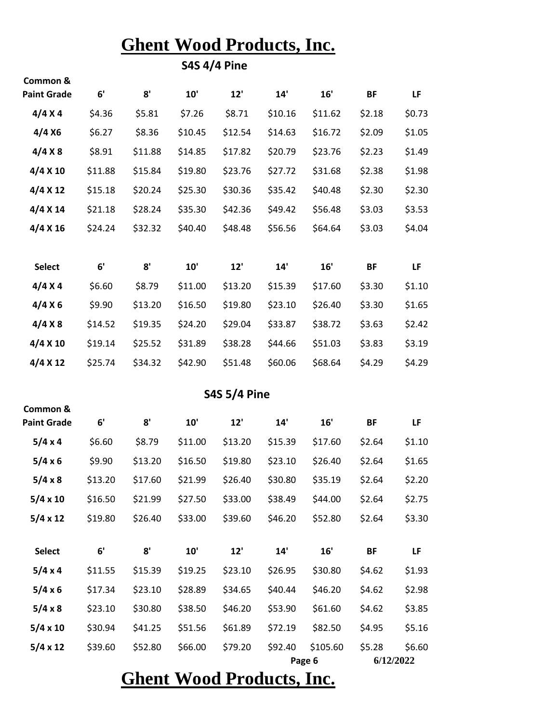**S4S 4/4 Pine**

| Common &<br><b>Paint Grade</b> | 6'      | 8'      | 10'     | 12'                 | 14'     | 16'                | <b>BF</b> | LF                  |
|--------------------------------|---------|---------|---------|---------------------|---------|--------------------|-----------|---------------------|
|                                |         |         |         |                     |         |                    |           |                     |
| 4/4 X 4                        | \$4.36  | \$5.81  | \$7.26  | \$8.71              | \$10.16 | \$11.62            | \$2.18    | \$0.73              |
| 4/4 X6                         | \$6.27  | \$8.36  | \$10.45 | \$12.54             | \$14.63 | \$16.72            | \$2.09    | \$1.05              |
| 4/4 X8                         | \$8.91  | \$11.88 | \$14.85 | \$17.82             | \$20.79 | \$23.76            | \$2.23    | \$1.49              |
| 4/4 X 10                       | \$11.88 | \$15.84 | \$19.80 | \$23.76             | \$27.72 | \$31.68            | \$2.38    | \$1.98              |
| 4/4 X 12                       | \$15.18 | \$20.24 | \$25.30 | \$30.36             | \$35.42 | \$40.48            | \$2.30    | \$2.30              |
| 4/4 X 14                       | \$21.18 | \$28.24 | \$35.30 | \$42.36             | \$49.42 | \$56.48            | \$3.03    | \$3.53              |
| 4/4 X 16                       | \$24.24 | \$32.32 | \$40.40 | \$48.48             | \$56.56 | \$64.64            | \$3.03    | \$4.04              |
| <b>Select</b>                  | 6'      | 8'      | 10'     | 12'                 | 14'     | 16'                | <b>BF</b> | LF                  |
| 4/4 X 4                        | \$6.60  | \$8.79  | \$11.00 | \$13.20             | \$15.39 | \$17.60            | \$3.30    | \$1.10              |
| 4/4 X6                         | \$9.90  | \$13.20 | \$16.50 | \$19.80             | \$23.10 | \$26.40            | \$3.30    | \$1.65              |
| 4/4 X8                         | \$14.52 | \$19.35 | \$24.20 | \$29.04             | \$33.87 | \$38.72            | \$3.63    | \$2.42              |
| 4/4 X 10                       | \$19.14 | \$25.52 | \$31.89 | \$38.28             | \$44.66 | \$51.03            | \$3.83    | \$3.19              |
| 4/4 X 12                       | \$25.74 | \$34.32 | \$42.90 | \$51.48             | \$60.06 | \$68.64            | \$4.29    | \$4.29              |
|                                |         |         |         | <b>S4S 5/4 Pine</b> |         |                    |           |                     |
| Common &<br><b>Paint Grade</b> | 6'      | 8'      | 10'     | 12'                 | 14'     | 16'                | <b>BF</b> | LF                  |
| 5/4 x 4                        | \$6.60  | \$8.79  | \$11.00 | \$13.20             | \$15.39 | \$17.60            | \$2.64    | \$1.10              |
| $5/4 \times 6$                 | \$9.90  | \$13.20 | \$16.50 | \$19.80             | \$23.10 | \$26.40            | \$2.64    | \$1.65              |
| 5/4 x 8                        | \$13.20 | \$17.60 | \$21.99 | \$26.40             | \$30.80 | \$35.19            | \$2.64    | \$2.20              |
| $5/4 \times 10$                | \$16.50 | \$21.99 | \$27.50 | \$33.00             | \$38.49 | \$44.00            | \$2.64    | \$2.75              |
| $5/4 \times 12$                | \$19.80 | \$26.40 | \$33.00 | \$39.60             | \$46.20 | \$52.80            | \$2.64    | \$3.30              |
| <b>Select</b>                  | 6'      | 8'      | 10'     | 12'                 | 14'     | 16'                | <b>BF</b> | LF                  |
| 5/4 x 4                        | \$11.55 | \$15.39 | \$19.25 | \$23.10             | \$26.95 | \$30.80            | \$4.62    | \$1.93              |
| 5/4 x 6                        | \$17.34 | \$23.10 | \$28.89 | \$34.65             | \$40.44 | \$46.20            | \$4.62    | \$2.98              |
| 5/4 x 8                        | \$23.10 | \$30.80 | \$38.50 | \$46.20             | \$53.90 | \$61.60            | \$4.62    | \$3.85              |
| $5/4 \times 10$                | \$30.94 | \$41.25 | \$51.56 | \$61.89             | \$72.19 | \$82.50            | \$4.95    | \$5.16              |
| $5/4 \times 12$                | \$39.60 | \$52.80 | \$66.00 | \$79.20             | \$92.40 | \$105.60<br>Page 6 | \$5.28    | \$6.60<br>6/12/2022 |

**Ghent Wood Products, Inc.**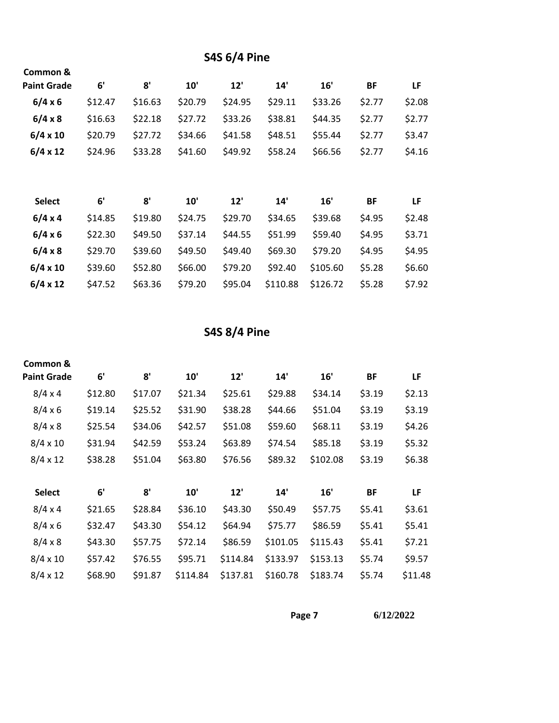#### **S4S 6/4 Pine**

| Common &           |         |         |         |         |         |          |           |        |
|--------------------|---------|---------|---------|---------|---------|----------|-----------|--------|
| <b>Paint Grade</b> | 6'      | 8'      | 10'     | 12'     | 14'     | 16'      | <b>BF</b> | LF     |
| 6/4 x 6            | \$12.47 | \$16.63 | \$20.79 | \$24.95 | \$29.11 | \$33.26  | \$2.77    | \$2.08 |
| 6/4 x 8            | \$16.63 | \$22.18 | \$27.72 | \$33.26 | \$38.81 | \$44.35  | \$2.77    | \$2.77 |
| $6/4 \times 10$    | \$20.79 | \$27.72 | \$34.66 | \$41.58 | \$48.51 | \$55.44  | \$2.77    | \$3.47 |
| $6/4 \times 12$    | \$24.96 | \$33.28 | \$41.60 | \$49.92 | \$58.24 | \$66.56  | \$2.77    | \$4.16 |
|                    |         |         |         |         |         |          |           |        |
| <b>Select</b>      | 6'      | 8'      | 10'     | 12'     | 14'     | 16'      | <b>BF</b> | LF     |
| 6/4 x 4            | \$14.85 | \$19.80 | \$24.75 | \$29.70 | \$34.65 | \$39.68  | \$4.95    | \$2.48 |
| 6/4 x 6            | \$22.30 | \$49.50 | \$37.14 | \$44.55 | \$51.99 | \$59.40  | \$4.95    | \$3.71 |
| $6/4 \times 8$     | \$29.70 | \$39.60 | \$49.50 | \$49.40 | \$69.30 | \$79.20  | \$4.95    | \$4.95 |
|                    |         |         |         |         |         |          |           |        |
| $6/4 \times 10$    | \$39.60 | \$52.80 | \$66.00 | \$79.20 | \$92.40 | \$105.60 | \$5.28    | \$6.60 |

**S4S 8/4 Pine**

| Common &           |         |         |          |          |          |          |           |         |
|--------------------|---------|---------|----------|----------|----------|----------|-----------|---------|
| <b>Paint Grade</b> | 6'      | 8'      | 10'      | 12'      | 14'      | 16'      | <b>BF</b> | LF      |
| 8/4 x 4            | \$12.80 | \$17.07 | \$21.34  | \$25.61  | \$29.88  | \$34.14  | \$3.19    | \$2.13  |
| 8/4 x 6            | \$19.14 | \$25.52 | \$31.90  | \$38.28  | \$44.66  | \$51.04  | \$3.19    | \$3.19  |
| $8/4 \times 8$     | \$25.54 | \$34.06 | \$42.57  | \$51.08  | \$59.60  | \$68.11  | \$3.19    | \$4.26  |
| $8/4 \times 10$    | \$31.94 | \$42.59 | \$53.24  | \$63.89  | \$74.54  | \$85.18  | \$3.19    | \$5.32  |
| $8/4 \times 12$    | \$38.28 | \$51.04 | \$63.80  | \$76.56  | \$89.32  | \$102.08 | \$3.19    | \$6.38  |
|                    |         |         |          |          |          |          |           |         |
| <b>Select</b>      | 6'      | 8'      | 10'      | 12'      | 14'      | 16'      | <b>BF</b> | LF      |
| 8/4 x 4            | \$21.65 | \$28.84 | \$36.10  | \$43.30  | \$50.49  | \$57.75  | \$5.41    | \$3.61  |
| 8/4 x 6            | \$32.47 | \$43.30 | \$54.12  | \$64.94  | \$75.77  | \$86.59  | \$5.41    | \$5.41  |
| $8/4 \times 8$     | \$43.30 | \$57.75 | \$72.14  | \$86.59  | \$101.05 | \$115.43 | \$5.41    | \$7.21  |
| $8/4 \times 10$    | \$57.42 | \$76.55 | \$95.71  | \$114.84 | \$133.97 | \$153.13 | \$5.74    | \$9.57  |
| $8/4 \times 12$    | \$68.90 | \$91.87 | \$114.84 | \$137.81 | \$160.78 | \$183.74 | \$5.74    | \$11.48 |

**Page 7 6/12/2022**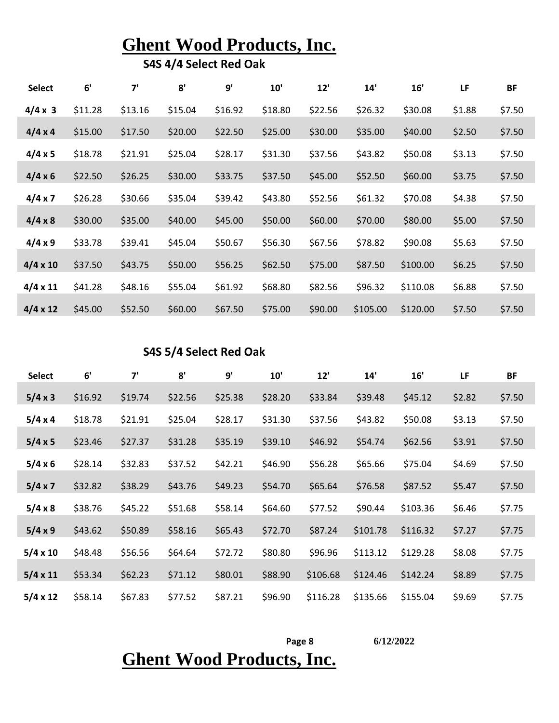**S4S 4/4 Select Red Oak** 

| <b>Select</b>   | 6'      | 7'      | 8'      | 9'      | 10'     | 12'     | 14'      | 16'      | LF     | <b>BF</b> |
|-----------------|---------|---------|---------|---------|---------|---------|----------|----------|--------|-----------|
| $4/4 \times 3$  | \$11.28 | \$13.16 | \$15.04 | \$16.92 | \$18.80 | \$22.56 | \$26.32  | \$30.08  | \$1.88 | \$7.50    |
| 4/4 x 4         | \$15.00 | \$17.50 | \$20.00 | \$22.50 | \$25.00 | \$30.00 | \$35.00  | \$40.00  | \$2.50 | \$7.50    |
| 4/4 x 5         | \$18.78 | \$21.91 | \$25.04 | \$28.17 | \$31.30 | \$37.56 | \$43.82  | \$50.08  | \$3.13 | \$7.50    |
| 4/4 x 6         | \$22.50 | \$26.25 | \$30.00 | \$33.75 | \$37.50 | \$45.00 | \$52.50  | \$60.00  | \$3.75 | \$7.50    |
| 4/4 x 7         | \$26.28 | \$30.66 | \$35.04 | \$39.42 | \$43.80 | \$52.56 | \$61.32  | \$70.08  | \$4.38 | \$7.50    |
| $4/4 \times 8$  | \$30.00 | \$35.00 | \$40.00 | \$45.00 | \$50.00 | \$60.00 | \$70.00  | \$80.00  | \$5.00 | \$7.50    |
| 4/4 x 9         | \$33.78 | \$39.41 | \$45.04 | \$50.67 | \$56.30 | \$67.56 | \$78.82  | \$90.08  | \$5.63 | \$7.50    |
| $4/4 \times 10$ | \$37.50 | \$43.75 | \$50.00 | \$56.25 | \$62.50 | \$75.00 | \$87.50  | \$100.00 | \$6.25 | \$7.50    |
| $4/4 \times 11$ | \$41.28 | \$48.16 | \$55.04 | \$61.92 | \$68.80 | \$82.56 | \$96.32  | \$110.08 | \$6.88 | \$7.50    |
| $4/4 \times 12$ | \$45.00 | \$52.50 | \$60.00 | \$67.50 | \$75.00 | \$90.00 | \$105.00 | \$120.00 | \$7.50 | \$7.50    |

**S4S 5/4 Select Red Oak** 

| <b>Select</b>   | 6'      | 7'      | 8'      | 9'      | 10'     | 12'      | 14'      | 16'      | LF     | <b>BF</b> |
|-----------------|---------|---------|---------|---------|---------|----------|----------|----------|--------|-----------|
| 5/4 x 3         | \$16.92 | \$19.74 | \$22.56 | \$25.38 | \$28.20 | \$33.84  | \$39.48  | \$45.12  | \$2.82 | \$7.50    |
| $5/4 \times 4$  | \$18.78 | \$21.91 | \$25.04 | \$28.17 | \$31.30 | \$37.56  | \$43.82  | \$50.08  | \$3.13 | \$7.50    |
| $5/4 \times 5$  | \$23.46 | \$27.37 | \$31.28 | \$35.19 | \$39.10 | \$46.92  | \$54.74  | \$62.56  | \$3.91 | \$7.50    |
| $5/4 \times 6$  | \$28.14 | \$32.83 | \$37.52 | \$42.21 | \$46.90 | \$56.28  | \$65.66  | \$75.04  | \$4.69 | \$7.50    |
| $5/4 \times 7$  | \$32.82 | \$38.29 | \$43.76 | \$49.23 | \$54.70 | \$65.64  | \$76.58  | \$87.52  | \$5.47 | \$7.50    |
| $5/4 \times 8$  | \$38.76 | \$45.22 | \$51.68 | \$58.14 | \$64.60 | \$77.52  | \$90.44  | \$103.36 | \$6.46 | \$7.75    |
| 5/4 x 9         | \$43.62 | \$50.89 | \$58.16 | \$65.43 | \$72.70 | \$87.24  | \$101.78 | \$116.32 | \$7.27 | \$7.75    |
| $5/4 \times 10$ | \$48.48 | \$56.56 | \$64.64 | \$72.72 | \$80.80 | \$96.96  | \$113.12 | \$129.28 | \$8.08 | \$7.75    |
| $5/4 \times 11$ | \$53.34 | \$62.23 | \$71.12 | \$80.01 | \$88.90 | \$106.68 | \$124.46 | \$142.24 | \$8.89 | \$7.75    |
| $5/4 \times 12$ | \$58.14 | \$67.83 | \$77.52 | \$87.21 | \$96.90 | \$116.28 | \$135.66 | \$155.04 | \$9.69 | \$7.75    |

**6/12/2022**

### **Page 8 Ghent Wood Products, Inc.**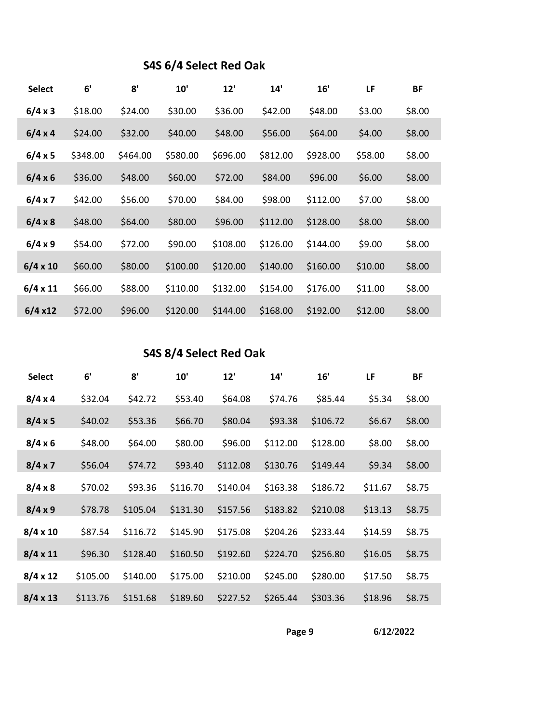#### **S4S 6/4 Select Red Oak**

| <b>Select</b>   | 6'       | 8'       | 10'      | 12'      | 14'      | 16'      | LF      | BF     |
|-----------------|----------|----------|----------|----------|----------|----------|---------|--------|
| 6/4 x 3         | \$18.00  | \$24.00  | \$30.00  | \$36.00  | \$42.00  | \$48.00  | \$3.00  | \$8.00 |
| 6/4 x 4         | \$24.00  | \$32.00  | \$40.00  | \$48.00  | \$56.00  | \$64.00  | \$4.00  | \$8.00 |
| 6/4 x 5         | \$348.00 | \$464.00 | \$580.00 | \$696.00 | \$812.00 | \$928.00 | \$58.00 | \$8.00 |
| 6/4 x 6         | \$36.00  | \$48.00  | \$60.00  | \$72.00  | \$84.00  | \$96.00  | \$6.00  | \$8.00 |
| 6/4 x 7         | \$42.00  | \$56.00  | \$70.00  | \$84.00  | \$98.00  | \$112.00 | \$7.00  | \$8.00 |
| 6/4 x 8         | \$48.00  | \$64.00  | \$80.00  | \$96.00  | \$112.00 | \$128.00 | \$8.00  | \$8.00 |
| 6/4 x 9         | \$54.00  | \$72.00  | \$90.00  | \$108.00 | \$126.00 | \$144.00 | \$9.00  | \$8.00 |
| $6/4 \times 10$ | \$60.00  | \$80.00  | \$100.00 | \$120.00 | \$140.00 | \$160.00 | \$10.00 | \$8.00 |
| $6/4 \times 11$ | \$66.00  | \$88.00  | \$110.00 | \$132.00 | \$154.00 | \$176.00 | \$11.00 | \$8.00 |
| 6/4 x12         | \$72.00  | \$96.00  | \$120.00 | \$144.00 | \$168.00 | \$192.00 | \$12.00 | \$8.00 |

#### **S4S 8/4 Select Red Oak**

| <b>Select</b>   | 6'       | 8'       | 10'      | 12'      | 14'      | 16'      | LF      | ΒF     |  |
|-----------------|----------|----------|----------|----------|----------|----------|---------|--------|--|
| 8/4 x 4         | \$32.04  | \$42.72  | \$53.40  | \$64.08  | \$74.76  | \$85.44  | \$5.34  | \$8.00 |  |
| 8/4 x 5         | \$40.02  | \$53.36  | \$66.70  | \$80.04  | \$93.38  | \$106.72 | \$6.67  | \$8.00 |  |
| 8/4 x 6         | \$48.00  | \$64.00  | \$80.00  | \$96.00  | \$112.00 | \$128.00 | \$8.00  | \$8.00 |  |
| 8/4 x 7         | \$56.04  | \$74.72  | \$93.40  | \$112.08 | \$130.76 | \$149.44 | \$9.34  | \$8.00 |  |
| 8/4 x 8         | \$70.02  | \$93.36  | \$116.70 | \$140.04 | \$163.38 | \$186.72 | \$11.67 | \$8.75 |  |
| 8/4 x 9         | \$78.78  | \$105.04 | \$131.30 | \$157.56 | \$183.82 | \$210.08 | \$13.13 | \$8.75 |  |
| $8/4 \times 10$ | \$87.54  | \$116.72 | \$145.90 | \$175.08 | \$204.26 | \$233.44 | \$14.59 | \$8.75 |  |
| $8/4 \times 11$ | \$96.30  | \$128.40 | \$160.50 | \$192.60 | \$224.70 | \$256.80 | \$16.05 | \$8.75 |  |
| $8/4 \times 12$ | \$105.00 | \$140.00 | \$175.00 | \$210.00 | \$245.00 | \$280.00 | \$17.50 | \$8.75 |  |
| $8/4 \times 13$ | \$113.76 | \$151.68 | \$189.60 | \$227.52 | \$265.44 | \$303.36 | \$18.96 | \$8.75 |  |
|                 |          |          |          |          |          |          |         |        |  |

**Page 9**

**6/12/2022**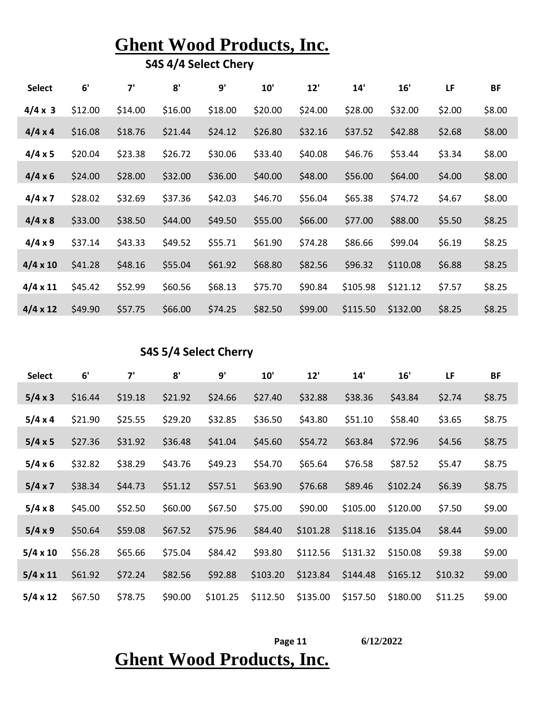**S4S 4/4 Select Chery**

| <b>Select</b>   | 6'      | 7'      | 8'      | 9'      | 10'     | 12'     | 14'      | 16'      | LF     | <b>BF</b> |
|-----------------|---------|---------|---------|---------|---------|---------|----------|----------|--------|-----------|
| $4/4 \times 3$  | \$12.00 | \$14.00 | \$16.00 | \$18.00 | \$20.00 | \$24.00 | \$28.00  | \$32.00  | \$2.00 | \$8.00    |
| 4/4 x 4         | \$16.08 | \$18.76 | \$21.44 | \$24.12 | \$26.80 | \$32.16 | \$37.52  | \$42.88  | \$2.68 | \$8.00    |
| 4/4 x 5         | \$20.04 | \$23.38 | \$26.72 | \$30.06 | \$33.40 | \$40.08 | \$46.76  | \$53.44  | \$3.34 | \$8.00    |
| 4/4 x 6         | \$24.00 | \$28.00 | \$32.00 | \$36.00 | \$40.00 | \$48.00 | \$56.00  | \$64.00  | \$4.00 | \$8.00    |
| 4/4 x 7         | \$28.02 | \$32.69 | \$37.36 | \$42.03 | \$46.70 | \$56.04 | \$65.38  | \$74.72  | \$4.67 | \$8.00    |
| 4/4 x 8         | \$33.00 | \$38.50 | \$44.00 | \$49.50 | \$55.00 | \$66.00 | \$77.00  | \$88.00  | \$5.50 | \$8.25    |
| 4/4 x 9         | \$37.14 | \$43.33 | \$49.52 | \$55.71 | \$61.90 | \$74.28 | \$86.66  | \$99.04  | \$6.19 | \$8.25    |
| $4/4 \times 10$ | \$41.28 | \$48.16 | \$55.04 | \$61.92 | \$68.80 | \$82.56 | \$96.32  | \$110.08 | \$6.88 | \$8.25    |
| $4/4 \times 11$ | \$45.42 | \$52.99 | \$60.56 | \$68.13 | \$75.70 | \$90.84 | \$105.98 | \$121.12 | \$7.57 | \$8.25    |
| $4/4 \times 12$ | \$49.90 | \$57.75 | \$66.00 | \$74.25 | \$82.50 | \$99.00 | \$115.50 | \$132.00 | \$8.25 | \$8.25    |

#### **S4S 5/4 Select Cherry**

| <b>Select</b>   | 6'      | 7'      | 8'      | 9'       | 10'      | 12'      | 14'      | 16'      | LF      | BF     |
|-----------------|---------|---------|---------|----------|----------|----------|----------|----------|---------|--------|
| 5/4 x 3         | \$16.44 | \$19.18 | \$21.92 | \$24.66  | \$27.40  | \$32.88  | \$38.36  | \$43.84  | \$2.74  | \$8.75 |
| 5/4 x 4         | \$21.90 | \$25.55 | \$29.20 | \$32.85  | \$36.50  | \$43.80  | \$51.10  | \$58.40  | \$3.65  | \$8.75 |
| 5/4 x 5         | \$27.36 | \$31.92 | \$36.48 | \$41.04  | \$45.60  | \$54.72  | \$63.84  | \$72.96  | \$4.56  | \$8.75 |
| 5/4 x 6         | \$32.82 | \$38.29 | \$43.76 | \$49.23  | \$54.70  | \$65.64  | \$76.58  | \$87.52  | \$5.47  | \$8.75 |
| 5/4 x 7         | \$38.34 | \$44.73 | \$51.12 | \$57.51  | \$63.90  | \$76.68  | \$89.46  | \$102.24 | \$6.39  | \$8.75 |
| 5/4 x 8         | \$45.00 | \$52.50 | \$60.00 | \$67.50  | \$75.00  | \$90.00  | \$105.00 | \$120.00 | \$7.50  | \$9.00 |
| 5/4 x 9         | \$50.64 | \$59.08 | \$67.52 | \$75.96  | \$84.40  | \$101.28 | \$118.16 | \$135.04 | \$8.44  | \$9.00 |
| $5/4 \times 10$ | \$56.28 | \$65.66 | \$75.04 | \$84.42  | \$93.80  | \$112.56 | \$131.32 | \$150.08 | \$9.38  | \$9.00 |
| $5/4 \times 11$ | \$61.92 | \$72.24 | \$82.56 | \$92.88  | \$103.20 | \$123.84 | \$144.48 | \$165.12 | \$10.32 | \$9.00 |
| $5/4 \times 12$ | \$67.50 | \$78.75 | \$90.00 | \$101.25 | \$112.50 | \$135.00 | \$157.50 | \$180.00 | \$11.25 | \$9.00 |

### **Ghent Wood Products, Inc. Page 11 6/12/2022**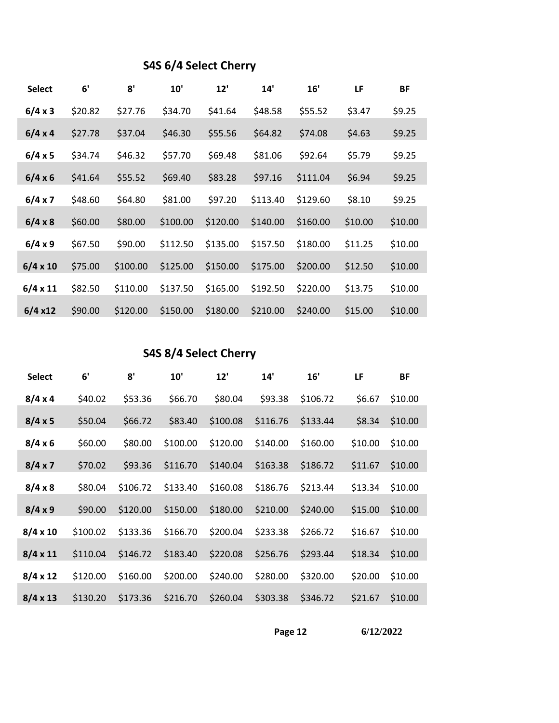#### **S4S 6/4 Select Cherry**

| <b>Select</b>   | 6'      | 8'       | 10'      | 12'      | 14'      | 16'      | LF      | <b>BF</b> |
|-----------------|---------|----------|----------|----------|----------|----------|---------|-----------|
| 6/4 x 3         | \$20.82 | \$27.76  | \$34.70  | \$41.64  | \$48.58  | \$55.52  | \$3.47  | \$9.25    |
| 6/4 x 4         | \$27.78 | \$37.04  | \$46.30  | \$55.56  | \$64.82  | \$74.08  | \$4.63  | \$9.25    |
| 6/4 x 5         | \$34.74 | \$46.32  | \$57.70  | \$69.48  | \$81.06  | \$92.64  | \$5.79  | \$9.25    |
| 6/4 x 6         | \$41.64 | \$55.52  | \$69.40  | \$83.28  | \$97.16  | \$111.04 | \$6.94  | \$9.25    |
| 6/4 x 7         | \$48.60 | \$64.80  | \$81.00  | \$97.20  | \$113.40 | \$129.60 | \$8.10  | \$9.25    |
| 6/4 x 8         | \$60.00 | \$80.00  | \$100.00 | \$120.00 | \$140.00 | \$160.00 | \$10.00 | \$10.00   |
| 6/4 x 9         | \$67.50 | \$90.00  | \$112.50 | \$135.00 | \$157.50 | \$180.00 | \$11.25 | \$10.00   |
| $6/4 \times 10$ | \$75.00 | \$100.00 | \$125.00 | \$150.00 | \$175.00 | \$200.00 | \$12.50 | \$10.00   |
| $6/4 \times 11$ | \$82.50 | \$110.00 | \$137.50 | \$165.00 | \$192.50 | \$220.00 | \$13.75 | \$10.00   |
| 6/4 x12         | \$90.00 | \$120.00 | \$150.00 | \$180.00 | \$210.00 | \$240.00 | \$15.00 | \$10.00   |

#### **S4S 8/4 Select Cherry**

| <b>Select</b>   | 6'       | 8'       | 10'      | 12'      | 14'      | 16'      | LF      | BF      |
|-----------------|----------|----------|----------|----------|----------|----------|---------|---------|
| 8/4 x 4         | \$40.02  | \$53.36  | \$66.70  | \$80.04  | \$93.38  | \$106.72 | \$6.67  | \$10.00 |
| 8/4 x 5         | \$50.04  | \$66.72  | \$83.40  | \$100.08 | \$116.76 | \$133.44 | \$8.34  | \$10.00 |
| 8/4 x 6         | \$60.00  | \$80.00  | \$100.00 | \$120.00 | \$140.00 | \$160.00 | \$10.00 | \$10.00 |
| 8/4 x 7         | \$70.02  | \$93.36  | \$116.70 | \$140.04 | \$163.38 | \$186.72 | \$11.67 | \$10.00 |
| 8/4 x 8         | \$80.04  | \$106.72 | \$133.40 | \$160.08 | \$186.76 | \$213.44 | \$13.34 | \$10.00 |
| 8/4 x 9         | \$90.00  | \$120.00 | \$150.00 | \$180.00 | \$210.00 | \$240.00 | \$15.00 | \$10.00 |
| $8/4 \times 10$ | \$100.02 | \$133.36 | \$166.70 | \$200.04 | \$233.38 | \$266.72 | \$16.67 | \$10.00 |
| $8/4 \times 11$ | \$110.04 | \$146.72 | \$183.40 | \$220.08 | \$256.76 | \$293.44 | \$18.34 | \$10.00 |
| $8/4 \times 12$ | \$120.00 | \$160.00 | \$200.00 | \$240.00 | \$280.00 | \$320.00 | \$20.00 | \$10.00 |
| $8/4 \times 13$ | \$130.20 | \$173.36 | \$216.70 | \$260.04 | \$303.38 | \$346.72 | \$21.67 | \$10.00 |
|                 |          |          |          |          |          |          |         |         |

**Page 12 6/12/2022**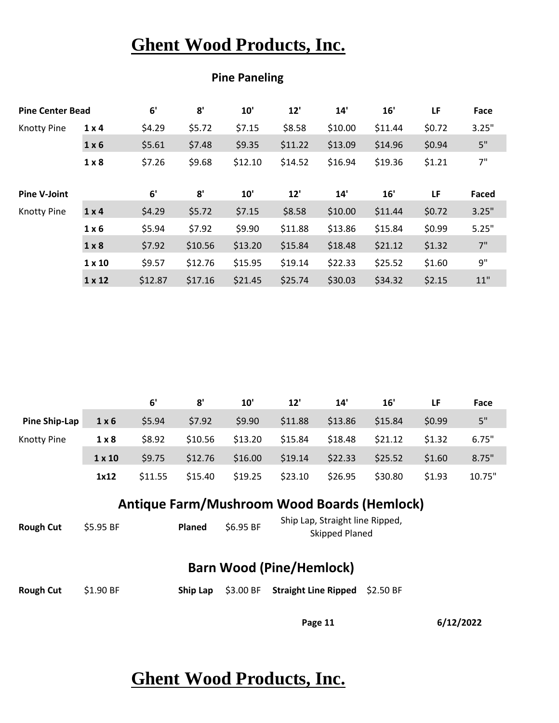| <b>Pine Center Bead</b> |               | 6'      | 8'      | 10'     | 12'     | 14'     | 16'     | LF     | Face  |
|-------------------------|---------------|---------|---------|---------|---------|---------|---------|--------|-------|
| <b>Knotty Pine</b>      | $1 \times 4$  | \$4.29  | \$5.72  | \$7.15  | \$8.58  | \$10.00 | \$11.44 | \$0.72 | 3.25" |
|                         | $1 \times 6$  | \$5.61  | \$7.48  | \$9.35  | \$11.22 | \$13.09 | \$14.96 | \$0.94 | 5"    |
|                         | $1 \times 8$  | \$7.26  | \$9.68  | \$12.10 | \$14.52 | \$16.94 | \$19.36 | \$1.21 | 7"    |
| <b>Pine V-Joint</b>     |               | 6'      | 8'      | 10'     | 12'     | 14'     | 16'     | LF     | Faced |
| <b>Knotty Pine</b>      | $1 \times 4$  | \$4.29  | \$5.72  | \$7.15  | \$8.58  | \$10.00 | \$11.44 | \$0.72 | 3.25" |
|                         | $1 \times 6$  | \$5.94  | \$7.92  | \$9.90  | \$11.88 | \$13.86 | \$15.84 | \$0.99 | 5.25" |
|                         | $1 \times 8$  | \$7.92  | \$10.56 | \$13.20 | \$15.84 | \$18.48 | \$21.12 | \$1.32 | 7"    |
|                         | $1 \times 10$ | \$9.57  | \$12.76 | \$15.95 | \$19.14 | \$22.33 | \$25.52 | \$1.60 | 9"    |
|                         | $1 \times 12$ | \$12.87 | \$17.16 | \$21.45 | \$25.74 | \$30.03 | \$34.32 | \$2.15 | 11"   |

#### **Pine Paneling**

|               |               | 6'      | 8'      | 10'     | 12'     | 14'     | 16'     | LF     | Face   |
|---------------|---------------|---------|---------|---------|---------|---------|---------|--------|--------|
| Pine Ship-Lap | $1 \times 6$  | \$5.94  | \$7.92  | \$9.90  | \$11.88 | \$13.86 | \$15.84 | \$0.99 | 5"     |
| Knotty Pine   | 1 × 8         | \$8.92  | \$10.56 | \$13.20 | \$15.84 | \$18.48 | \$21.12 | \$1.32 | 6.75"  |
|               | $1 \times 10$ | \$9.75  | \$12.76 | \$16.00 | \$19.14 | \$22.33 | \$25.52 | \$1.60 | 8.75"  |
|               | 1x12          | \$11.55 | \$15.40 | \$19.25 | \$23.10 | \$26.95 | \$30.80 | \$1.93 | 10.75" |

#### **Antique Farm/Mushroom Wood Boards (Hemlock)**

|  |  |  | Ship Lap, Straight line Ripped,<br><b>Skipped Planed</b> | \$6.95 BF | <b>Planed</b> | \$5.95 BF | <b>Rough Cut</b> |
|--|--|--|----------------------------------------------------------|-----------|---------------|-----------|------------------|
|--|--|--|----------------------------------------------------------|-----------|---------------|-----------|------------------|

#### **Barn Wood (Pine/Hemlock)**

| Rough Cut \$1.90 BF |  | Ship Lap \$3.00 BF Straight Line Ripped \$2.50 BF |  |
|---------------------|--|---------------------------------------------------|--|
|                     |  |                                                   |  |

**Page 11 6/12/2022**

## **Ghent Wood Products, Inc.**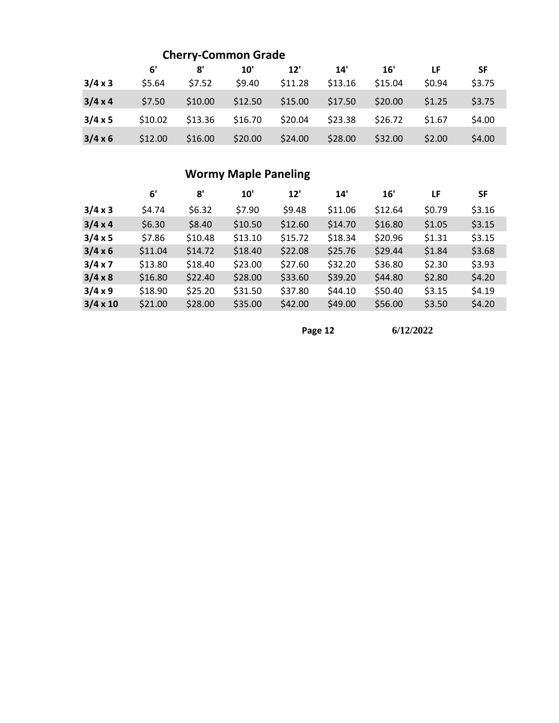|                |         | <b>Cherry-Common Grade</b> |         |         |         |         |        |           |
|----------------|---------|----------------------------|---------|---------|---------|---------|--------|-----------|
|                | 6'      | 8'                         | 10'     | 12'     | 14'     | 16'     | LF     | <b>SF</b> |
| 3/4 x 3        | \$5.64  | \$7.52                     | \$9.40  | \$11.28 | \$13.16 | \$15.04 | \$0.94 | \$3.75    |
| $3/4 \times 4$ | \$7.50  | \$10.00                    | \$12.50 | \$15.00 | \$17.50 | \$20.00 | \$1.25 | \$3.75    |
| $3/4 \times 5$ | \$10.02 | \$13.36                    | \$16.70 | \$20.04 | \$23.38 | \$26.72 | \$1.67 | \$4.00    |
| $3/4 \times 6$ | \$12.00 | \$16.00                    | \$20.00 | \$24.00 | \$28.00 | \$32.00 | \$2.00 | \$4.00    |

#### **Wormy Maple Paneling**

|                 | 6'      | 8'      | 10'     | 12'     | 14'     | 16'     | LF     | <b>SF</b> |
|-----------------|---------|---------|---------|---------|---------|---------|--------|-----------|
| 3/4 x 3         | \$4.74  | \$6.32  | \$7.90  | \$9.48  | \$11.06 | \$12.64 | \$0.79 | \$3.16    |
| 3/4 x 4         | \$6.30  | \$8.40  | \$10.50 | \$12.60 | \$14.70 | \$16.80 | \$1.05 | \$3.15    |
| 3/4 x 5         | \$7.86  | \$10.48 | \$13.10 | \$15.72 | \$18.34 | \$20.96 | \$1.31 | \$3.15    |
| 3/4 x 6         | \$11.04 | \$14.72 | \$18.40 | \$22.08 | \$25.76 | \$29.44 | \$1.84 | \$3.68    |
| 3/4 x 7         | \$13.80 | \$18.40 | \$23.00 | \$27.60 | \$32.20 | \$36.80 | \$2.30 | \$3.93    |
| $3/4 \times 8$  | \$16.80 | \$22.40 | \$28.00 | \$33.60 | \$39.20 | \$44.80 | \$2.80 | \$4.20    |
| $3/4 \times 9$  | \$18.90 | \$25.20 | \$31.50 | \$37.80 | \$44.10 | \$50.40 | \$3.15 | \$4.19    |
| $3/4 \times 10$ | \$21.00 | \$28.00 | \$35.00 | \$42.00 | \$49.00 | \$56.00 | \$3.50 | \$4.20    |

**Page 12 6/12/2022**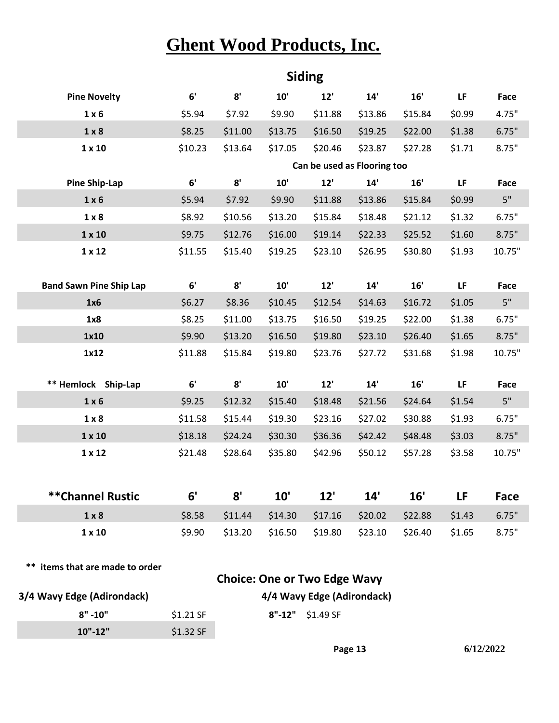|                                 |                    |                    |                    | <b>Siding</b>                       |                    |                    |                  |                   |
|---------------------------------|--------------------|--------------------|--------------------|-------------------------------------|--------------------|--------------------|------------------|-------------------|
| <b>Pine Novelty</b>             | 6'                 | 8'                 | $10'$              | 12'                                 | 14'                | 16'                | LF               | Face              |
| $1 \times 6$                    | \$5.94             | \$7.92             | \$9.90             | \$11.88                             | \$13.86            | \$15.84            | \$0.99           | 4.75"             |
| 1 × 8                           | \$8.25             | \$11.00            | \$13.75            | \$16.50                             | \$19.25            | \$22.00            | \$1.38           | 6.75"             |
| $1 \times 10$                   | \$10.23            | \$13.64            | \$17.05            | \$20.46                             | \$23.87            | \$27.28            | \$1.71           | 8.75"             |
|                                 |                    |                    |                    | Can be used as Flooring too         |                    |                    |                  |                   |
| <b>Pine Ship-Lap</b>            | 6'                 | 8'                 | 10'                | 12'                                 | 14'                | 16'                | LF               | Face              |
| $1 \times 6$                    | \$5.94             | \$7.92             | \$9.90             | \$11.88                             | \$13.86            | \$15.84            | \$0.99           | 5"                |
| $1 \times 8$                    | \$8.92             | \$10.56            | \$13.20            | \$15.84                             | \$18.48            | \$21.12            | \$1.32           | 6.75"             |
| $1 \times 10$                   | \$9.75             | \$12.76            | \$16.00            | \$19.14                             | \$22.33            | \$25.52            | \$1.60           | 8.75"             |
| $1 \times 12$                   | \$11.55            | \$15.40            | \$19.25            | \$23.10                             | \$26.95            | \$30.80            | \$1.93           | 10.75"            |
|                                 |                    |                    |                    |                                     |                    |                    |                  |                   |
| <b>Band Sawn Pine Ship Lap</b>  | 6'                 | 8'                 | 10'                | 12'                                 | 14'                | 16'                | LF               | <b>Face</b>       |
| 1x6                             | \$6.27             | \$8.36             | \$10.45            | \$12.54                             | \$14.63            | \$16.72            | \$1.05           | 5"                |
| 1x8                             | \$8.25             | \$11.00            | \$13.75            | \$16.50                             | \$19.25            | \$22.00            | \$1.38           | 6.75"             |
| 1x10                            | \$9.90             | \$13.20            | \$16.50            | \$19.80                             | \$23.10            | \$26.40            | \$1.65           | 8.75"             |
| 1x12                            | \$11.88            | \$15.84            | \$19.80            | \$23.76                             | \$27.72            | \$31.68            | \$1.98           | 10.75"            |
|                                 | 6'                 | 8'                 | $10'$              |                                     |                    |                    |                  |                   |
| ** Hemlock Ship-Lap             |                    |                    |                    | 12'                                 | 14'                | 16'                | LF               | <b>Face</b><br>5" |
| $1 \times 6$<br>$1 \times 8$    | \$9.25             | \$12.32<br>\$15.44 | \$15.40            | \$18.48                             | \$21.56<br>\$27.02 | \$24.64<br>\$30.88 | \$1.54<br>\$1.93 | 6.75"             |
| $1 \times 10$                   | \$11.58<br>\$18.18 | \$24.24            | \$19.30<br>\$30.30 | \$23.16<br>\$36.36                  | \$42.42            | \$48.48            | \$3.03           | 8.75"             |
| $1 \times 12$                   | \$21.48            | \$28.64            | \$35.80            | \$42.96                             | \$50.12            | \$57.28            | \$3.58           | 10.75"            |
|                                 |                    |                    |                    |                                     |                    |                    |                  |                   |
|                                 |                    |                    |                    |                                     |                    |                    |                  |                   |
| <b>**Channel Rustic</b>         | 6'                 | 8'                 | 10'                | 12'                                 | 14'                | 16'                | LF               | Face              |
| $1 \times 8$                    | \$8.58             | \$11.44            | \$14.30            | \$17.16                             | \$20.02            | \$22.88            | \$1.43           | 6.75"             |
| $1 \times 10$                   | \$9.90             | \$13.20            | \$16.50            | \$19.80                             | \$23.10            | \$26.40            | \$1.65           | 8.75"             |
|                                 |                    |                    |                    |                                     |                    |                    |                  |                   |
| ** items that are made to order |                    |                    |                    |                                     |                    |                    |                  |                   |
|                                 |                    |                    |                    | <b>Choice: One or Two Edge Wavy</b> |                    |                    |                  |                   |
| 3/4 Wavy Edge (Adirondack)      |                    |                    |                    | 4/4 Wavy Edge (Adirondack)          |                    |                    |                  |                   |
| $8" - 10"$                      | \$1.21 SF          |                    |                    | 8"-12" \$1.49 SF                    |                    |                    |                  |                   |

**10"-12"** \$1.32 SF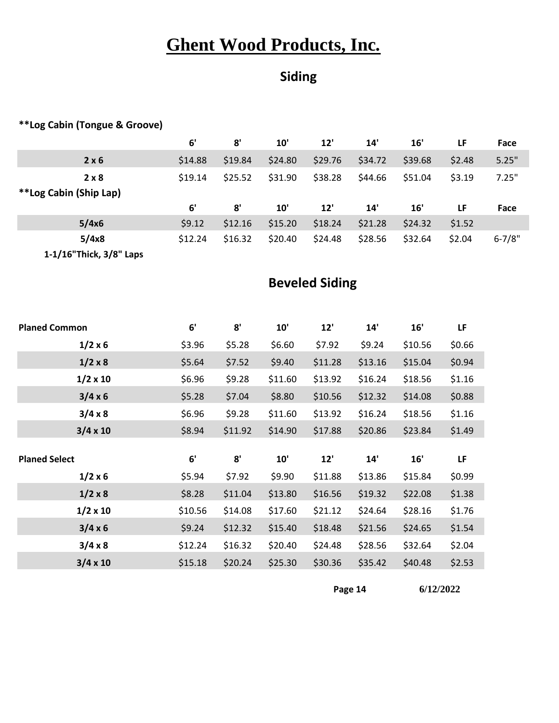### **Siding**

#### **\*\*Log Cabin (Tongue & Groove)**

|                        | 6'      | 8'      | 10'     | 12'     | 14'     | 16'     | LF     | Face       |
|------------------------|---------|---------|---------|---------|---------|---------|--------|------------|
| 2 × 6                  | \$14.88 | \$19.84 | \$24.80 | \$29.76 | \$34.72 | \$39.68 | \$2.48 | 5.25"      |
| 2 × 8                  | \$19.14 | \$25.52 | \$31.90 | \$38.28 | \$44.66 | \$51.04 | \$3.19 | 7.25"      |
| **Log Cabin (Ship Lap) |         |         |         |         |         |         |        |            |
|                        |         |         |         |         |         |         |        |            |
|                        | 6'      | 8'      | 10'     | 12'     | 14'     | 16'     | LF     | Face       |
| 5/4x6                  | \$9.12  | \$12.16 | \$15.20 | \$18.24 | \$21.28 | \$24.32 | \$1.52 |            |
| 5/4x8                  | \$12.24 | \$16.32 | \$20.40 | \$24.48 | \$28.56 | \$32.64 | \$2.04 | $6 - 7/8"$ |

#### **Beveled Siding**

| <b>Planed Common</b> | 6'      | 8'      | 10'     | 12'     | 14'     | 16'     | LF        |
|----------------------|---------|---------|---------|---------|---------|---------|-----------|
| $1/2 \times 6$       | \$3.96  | \$5.28  | \$6.60  | \$7.92  | \$9.24  | \$10.56 | \$0.66    |
| $1/2 \times 8$       | \$5.64  | \$7.52  | \$9.40  | \$11.28 | \$13.16 | \$15.04 | \$0.94    |
| $1/2 \times 10$      | \$6.96  | \$9.28  | \$11.60 | \$13.92 | \$16.24 | \$18.56 | \$1.16    |
| $3/4 \times 6$       | \$5.28  | \$7.04  | \$8.80  | \$10.56 | \$12.32 | \$14.08 | \$0.88    |
| 3/4 x 8              | \$6.96  | \$9.28  | \$11.60 | \$13.92 | \$16.24 | \$18.56 | \$1.16    |
| $3/4 \times 10$      | \$8.94  | \$11.92 | \$14.90 | \$17.88 | \$20.86 | \$23.84 | \$1.49    |
|                      |         |         |         |         |         |         |           |
|                      |         |         |         |         |         |         |           |
| <b>Planed Select</b> | 6'      | 8'      | 10'     | 12'     | 14'     | 16'     | <b>LF</b> |
| 1/2 x 6              | \$5.94  | \$7.92  | \$9.90  | \$11.88 | \$13.86 | \$15.84 | \$0.99    |
| $1/2 \times 8$       | \$8.28  | \$11.04 | \$13.80 | \$16.56 | \$19.32 | \$22.08 | \$1.38    |
| $1/2 \times 10$      | \$10.56 | \$14.08 | \$17.60 | \$21.12 | \$24.64 | \$28.16 | \$1.76    |
| $3/4 \times 6$       | \$9.24  | \$12.32 | \$15.40 | \$18.48 | \$21.56 | \$24.65 | \$1.54    |
| 3/4 x 8              | \$12.24 | \$16.32 | \$20.40 | \$24.48 | \$28.56 | \$32.64 | \$2.04    |

**Page 14 6/12/2022**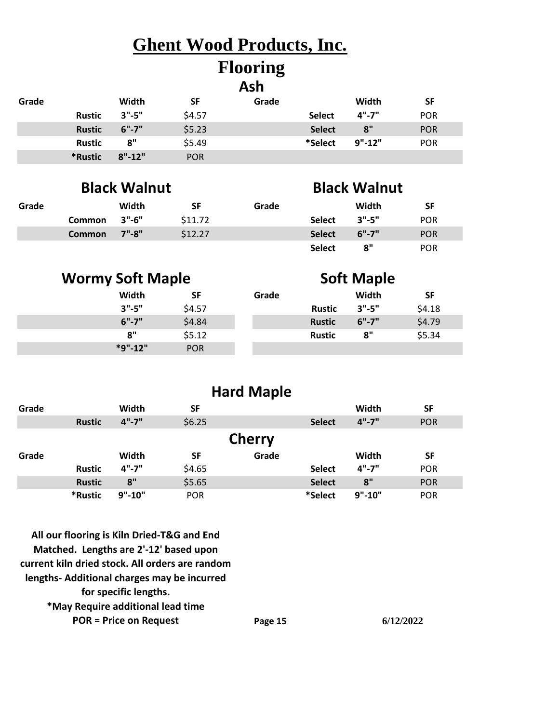#### **Flooring Ash**

|       |               |            |            | ASH   |               |            |            |
|-------|---------------|------------|------------|-------|---------------|------------|------------|
| Grade |               | Width      | <b>SF</b>  | Grade |               | Width      | <b>SF</b>  |
|       | <b>Rustic</b> | $3" - 5"$  | \$4.57     |       | <b>Select</b> | $4" - 7"$  | <b>POR</b> |
|       | <b>Rustic</b> | $6" - 7"$  | \$5.23     |       | <b>Select</b> | 8"         | <b>POR</b> |
|       | <b>Rustic</b> | 8"         | \$5.49     |       | *Select       | $9" - 12"$ | <b>POR</b> |
|       | *Rustic       | $8" - 12"$ | <b>POR</b> |       |               |            |            |

### **Black Walnut**

### **Black Walnut**

**Soft Maple**

| Grade |              | Width | SF      | Grade |               | Width     | <b>SF</b>  |
|-------|--------------|-------|---------|-------|---------------|-----------|------------|
|       | Common 3"-6" |       | \$11.72 |       | Select        | $3" - 5"$ | <b>POR</b> |
|       | Common 7"-8" |       | \$12.27 |       | <b>Select</b> | 6"-7"     | <b>POR</b> |
|       |              |       |         |       | <b>Select</b> | 8"        | <b>POR</b> |

#### **Wormy Soft Maple**

| Width     | <b>SF</b>  | Grade |               | Width     | <b>SF</b> |
|-----------|------------|-------|---------------|-----------|-----------|
| $3" - 5"$ | \$4.57     |       | <b>Rustic</b> | $3" - 5"$ | \$4.18    |
| $6" - 7"$ | \$4.84     |       | <b>Rustic</b> | $6" - 7"$ | \$4.79    |
| 8"        | \$5.12     |       | <b>Rustic</b> | 8"        | \$5.34    |
| $*9".12"$ | <b>POR</b> |       |               |           |           |

#### **Hard Maple**

| Grade |               | Width      | <b>SF</b>  |               |               | Width      | <b>SF</b>  |
|-------|---------------|------------|------------|---------------|---------------|------------|------------|
|       | <b>Rustic</b> | $4" - 7"$  | \$6.25     |               | <b>Select</b> | $4" - 7"$  | <b>POR</b> |
|       |               |            |            | <b>Cherry</b> |               |            |            |
| Grade |               | Width      | <b>SF</b>  | Grade         |               | Width      | SF         |
|       | <b>Rustic</b> | $4" - 7"$  | \$4.65     |               | <b>Select</b> | $4" - 7"$  | <b>POR</b> |
|       | <b>Rustic</b> | 8"         | \$5.65     |               | <b>Select</b> | 8"         | <b>POR</b> |
|       | *Rustic       | $9" - 10"$ | <b>POR</b> |               | *Select       | $9" - 10"$ | <b>POR</b> |

**Page 15 All our flooring is Kiln Dried-T&G and End Matched. Lengths are 2'-12' based upon current kiln dried stock. All orders are random lengths- Additional charges may be incurred for specific lengths. \*May Require additional lead time POR = Price on Request**

**6/12/2022**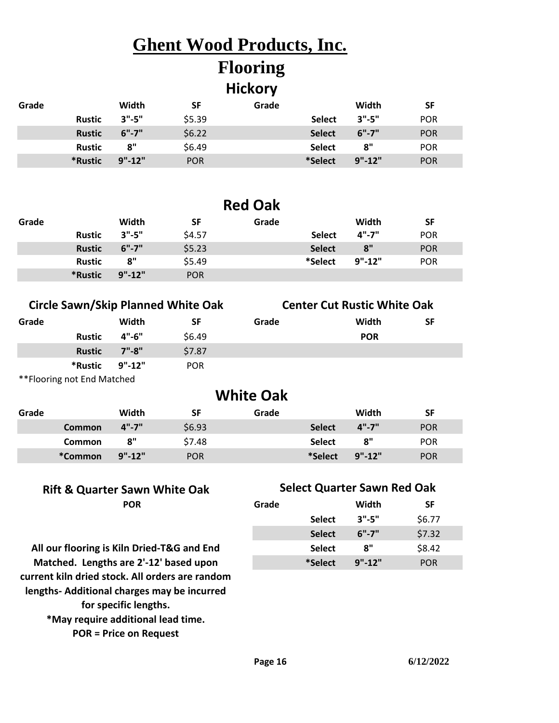# **Flooring**

#### **Hickory**

| Grade |               | Width      | SF         | Grade |               | Width      | <b>SF</b>  |
|-------|---------------|------------|------------|-------|---------------|------------|------------|
|       | <b>Rustic</b> | 3"-5"      | \$5.39     |       | <b>Select</b> | $3"$ -5"   | <b>POR</b> |
|       | <b>Rustic</b> | 6"-7"      | \$6.22     |       | <b>Select</b> | 6"-7"      | <b>POR</b> |
|       | Rustic        | 8"         | \$6.49     |       | <b>Select</b> | 8"         | <b>POR</b> |
|       | *Rustic       | $9" - 12"$ | <b>POR</b> |       | *Select       | $9" - 12"$ | <b>POR</b> |

#### **Red Oak**

| Grade |               | Width      | SF         | Grade |               | Width      | <b>SF</b>  |
|-------|---------------|------------|------------|-------|---------------|------------|------------|
|       | <b>Rustic</b> | 3".5"      | \$4.57     |       | <b>Select</b> | 4"-7"      | <b>POR</b> |
|       | <b>Rustic</b> | 6"-7"      | \$5.23     |       | <b>Select</b> | 8"         | <b>POR</b> |
|       | <b>Rustic</b> | 8"         | \$5.49     |       | *Select       | $9" - 12"$ | <b>POR</b> |
|       | *Rustic       | $9" - 12"$ | <b>POR</b> |       |               |            |            |

#### **Circle Sawn/Skip Planned White Oak Center Cut Rustic White Oak**

| Grade |                            | Width     | SF         | Grade | Width      | SF |
|-------|----------------------------|-----------|------------|-------|------------|----|
|       | <b>Rustic</b>              | $4" - 6"$ | \$6.49     |       | <b>POR</b> |    |
|       | <b>Rustic</b>              | $7" - 8"$ | \$7.87     |       |            |    |
|       | *Rustic 9"-12"             |           | <b>POR</b> |       |            |    |
|       | **Flooring not End Matched |           |            |       |            |    |

| Grade | Width<br><b>POR</b> | SF |
|-------|---------------------|----|
|       |                     |    |
|       |                     |    |

#### **Grade Width SF Grade Width SF Common 4"-7"** \$6.93 **Select 4"-7"** POR **Common 8"** \$7.48 **Select 8"** POR **\*Common 9"-12"** POR **\*Select 9"-12"** POR **White Oak**

#### **Rift & Quarter Sawn White Oak Select Quarter Sawn Red Oak**

| POR                   | Grade         | Width      | SF         |
|-----------------------|---------------|------------|------------|
|                       | <b>Select</b> | $3" - 5"$  | \$6.77     |
|                       | <b>Select</b> | $6" - 7"$  | \$7.32     |
| n Dried-T&G and End   | <b>Select</b> | 8"         | \$8.42     |
| ire 2'-12' based upon | *Select       | $9" - 12"$ | <b>POR</b> |

**All our flooring is Kiln Dried-T&G and End Matched. Lengths are 2'-12' based upon current kiln dried stock. All orders are random lengths- Additional charges may be incurred for specific lengths. \*May require additional lead time. POR = Price on Request**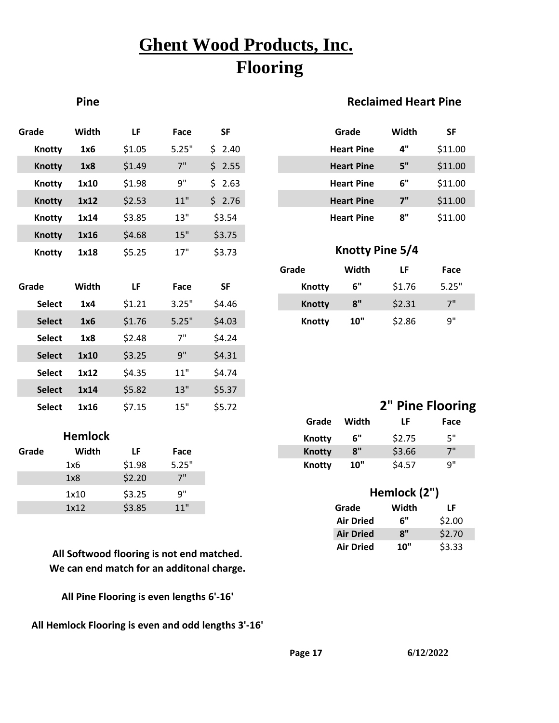## **Ghent Wood Products, Inc. Flooring**

#### **Pine Reclaimed Heart Pine**

| Grade         | Width | LF     | Face  | <b>SF</b> |               | Grade             | Width           | <b>SF</b> |
|---------------|-------|--------|-------|-----------|---------------|-------------------|-----------------|-----------|
| <b>Knotty</b> | 1x6   | \$1.05 | 5.25" | \$2.40    |               | <b>Heart Pine</b> | $4"$            | \$11.00   |
| <b>Knotty</b> | 1x8   | \$1.49 | 7"    | \$2.55    |               | <b>Heart Pine</b> | 5"              | \$11.00   |
| <b>Knotty</b> | 1x10  | \$1.98 | 9"    | \$2.63    |               | <b>Heart Pine</b> | 6"              | \$11.00   |
| <b>Knotty</b> | 1x12  | \$2.53 | $11"$ | \$2.76    |               | <b>Heart Pine</b> | 7"              | \$11.00   |
| <b>Knotty</b> | 1x14  | \$3.85 | 13"   | \$3.54    |               | <b>Heart Pine</b> | 8"              | \$11.00   |
| <b>Knotty</b> | 1x16  | \$4.68 | 15"   | \$3.75    |               |                   |                 |           |
| <b>Knotty</b> | 1x18  | \$5.25 | 17"   | \$3.73    |               | Knotty Pine 5/4   |                 |           |
|               |       |        |       |           | Grade         | Width             | LF              | Face      |
| Grade         | Width | LF     | Face  | <b>SF</b> | <b>Knotty</b> | 6"                | \$1.76          | 5.25"     |
| <b>Select</b> | 1x4   | \$1.21 | 3.25" | \$4.46    | <b>Knotty</b> | 8"                | \$2.31          | 7"        |
| <b>Select</b> | 1x6   | \$1.76 | 5.25" | \$4.03    | <b>Knotty</b> | 10"               | \$2.86          | 9"        |
| <b>Select</b> | 1x8   | \$2.48 | 7"    | \$4.24    |               |                   |                 |           |
| <b>Select</b> | 1x10  | \$3.25 | 9"    | \$4.31    |               |                   |                 |           |
| <b>Select</b> | 1x12  | \$4.35 | $11"$ | \$4.74    |               |                   |                 |           |
| <b>Select</b> | 1x14  | \$5.82 | 13"   | \$5.37    |               |                   |                 |           |
| <b>Select</b> | 1x16  | \$7.15 | 15"   | \$5.72    |               |                   | 2" Pine Floorin |           |

#### **Hemlock**

| Grade | Width | LF     | Face  |
|-------|-------|--------|-------|
|       | 1x6   | \$1.98 | 5.25" |
|       | 1x8   | \$2.20 | 7"    |
|       | 1x10  | \$3.25 | q"    |
|       | 1x12  | \$3.85 | 11"   |

**All Softwood flooring is not end matched. We can end match for an additonal charge.**

**All Pine Flooring is even lengths 6'-16'**

**All Hemlock Flooring is even and odd lengths 3'-16'**

| Grade             | Width | SF      |
|-------------------|-------|---------|
| <b>Heart Pine</b> | 4"    | \$11.00 |
| <b>Heart Pine</b> | 5"    | \$11.00 |
| <b>Heart Pine</b> | 6"    | \$11.00 |
| <b>Heart Pine</b> | 7"    | \$11.00 |
| <b>Heart Pine</b> | 8"    | \$11.00 |

#### **Knotty Pine 5/4**

| Grade  | Width | LF     | Face  |
|--------|-------|--------|-------|
| Knotty | 6"    | \$1.76 | 5.25" |
| Knotty | 8"    | \$2.31 | 7"    |
| Knotty | 10"   | \$2.86 | 9"    |

#### **2" Pine Flooring**

| Hemlock |        |       |
|---------|--------|-------|
| Width   | LF.    | Face  |
| 1x6     | \$1.98 | 5.25" |

| 1x10 | \$3.25 | 9"                                                       |                  | Hemlock (2") |        |
|------|--------|----------------------------------------------------------|------------------|--------------|--------|
| 1x12 | \$3.85 | 11"                                                      | Grade            | Width        | LF     |
|      |        |                                                          | <b>Air Dried</b> | 6"           | \$2.00 |
|      |        |                                                          | <b>Air Dried</b> | 8"           | \$2.70 |
|      |        | المعاملة ومساويته والمستحدث والمستحدث والكالم والمستحيات | <b>Air Dried</b> | 10"          | \$3.33 |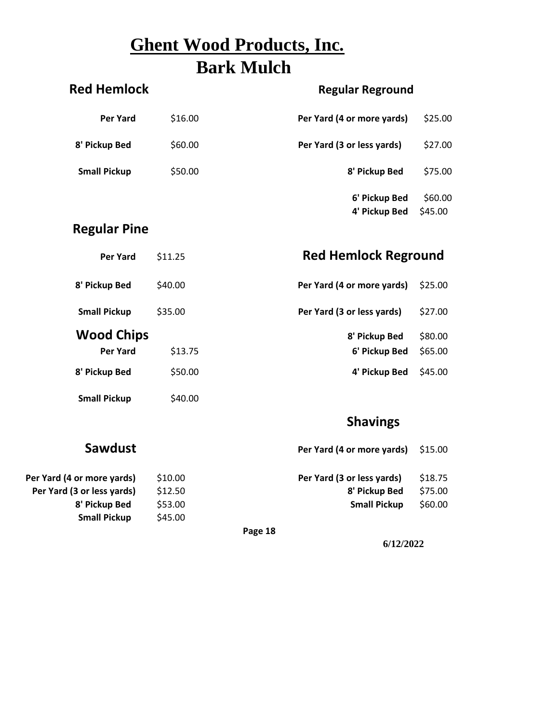### **Ghent Wood Products, Inc. Bark Mulch**

| <b>Red Hemlock</b>  |         | <b>Regular Reground</b>        |                    |
|---------------------|---------|--------------------------------|--------------------|
| <b>Per Yard</b>     | \$16.00 | Per Yard (4 or more yards)     | \$25.00            |
| 8' Pickup Bed       | \$60.00 | Per Yard (3 or less yards)     | \$27.00            |
| <b>Small Pickup</b> | \$50.00 | 8' Pickup Bed                  | \$75.00            |
|                     |         | 6' Pickup Bed<br>4' Pickup Bed | \$60.00<br>\$45.00 |
| <b>Regular Pine</b> |         |                                |                    |
| <b>Per Yard</b>     | \$11.25 | <b>Red Hemlock Reground</b>    |                    |
| 8' Pickup Bed       | \$40.00 | Per Yard (4 or more yards)     | \$25.00            |
| <b>Small Pickup</b> | \$35.00 | Per Yard (3 or less yards)     | \$27.00            |
| <b>Wood Chips</b>   |         | 8' Pickup Bed                  | \$80.00            |
| <b>Per Yard</b>     | \$13.75 | 6' Pickup Bed                  | \$65.00            |
| 8' Pickup Bed       | \$50.00 | 4' Pickup Bed                  | \$45.00            |
| <b>Small Pickup</b> | \$40.00 |                                |                    |
|                     |         | <b>Shavings</b>                |                    |

| Sawdust                    |         |         | Per Yard (4 or more yards) | \$15.00 |
|----------------------------|---------|---------|----------------------------|---------|
| Per Yard (4 or more yards) | \$10.00 |         | Per Yard (3 or less yards) | \$18.75 |
| Per Yard (3 or less yards) | \$12.50 |         | 8' Pickup Bed              | \$75.00 |
| 8' Pickup Bed              | \$53.00 |         | <b>Small Pickup</b>        | \$60.00 |
| <b>Small Pickup</b>        | \$45.00 |         |                            |         |
|                            |         | Page 18 |                            |         |

**6/12/2022**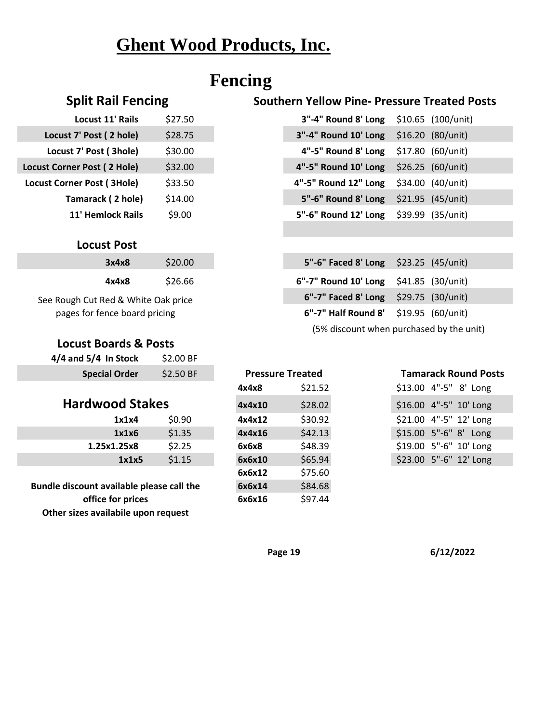### **Fencing**

| <b>Locust 11' Rails</b>           | \$27.50 | 3"-4" Round 8' Long  |
|-----------------------------------|---------|----------------------|
| Locust 7' Post (2 hole)           | \$28.75 | 3"-4" Round 10' Long |
| Locust 7' Post (3hole)            | \$30.00 | 4"-5" Round 8' Long  |
| Locust Corner Post (2 Hole)       | \$32.00 | 4"-5" Round 10' Long |
| <b>Locust Corner Post (3Hole)</b> | \$33.50 | 4"-5" Round 12" Long |
| Tamarack (2 hole)                 | \$14.00 | 5"-6" Round 8' Long  |
| 11' Hemlock Rails                 | \$9.00  | 5"-6" Round 12' Long |

#### **Locust Post**

| 3x4x8 | \$20.00 |
|-------|---------|
| 4x4x8 | \$26.66 |

See Rough Cut Red & White Oak price pages for fence board pricing

#### **Locust Boards & Posts**

| $4/4$ and $5/4$ In Stock | \$2.00 BF |
|--------------------------|-----------|
| <b>Special Order</b>     | \$2.50 BF |

#### **Hardwood Stakes**

| 1x1x4       | \$0.90 |
|-------------|--------|
| 1x1x6       | \$1.35 |
| 1.25x1.25x8 | \$2.25 |
| 1x1x5       | \$1.15 |

**Bundle discount available please call the office for prices Other sizes availabile upon request**

| <b>Pressure Treated</b> |         |
|-------------------------|---------|
| 4x4x8                   | \$21.52 |
| 4x4x10                  | \$28.02 |
| 4x4x12                  | \$30.92 |
| 4x4x16                  | \$42.13 |
| 6x6x8                   | \$48.39 |
| 6x6x10                  | \$65.94 |
| 6x6x12                  | \$75.60 |
| 6x6x14                  | \$84.68 |
| 6x6x16                  | \$97.44 |

#### **Split Rail Fencing Southern Yellow Pine- Pressure Treated Posts**

| \$27.50 | 3"-4" Round 8' Long \$10.65 (100/unit) |  |
|---------|----------------------------------------|--|
| \$28.75 | 3"-4" Round 10' Long \$16.20 (80/unit) |  |
| \$30.00 | 4"-5" Round 8' Long \$17.80 (60/unit)  |  |
| \$32.00 | 4"-5" Round 10' Long \$26.25 (60/unit) |  |
| \$33.50 | 4"-5" Round 12" Long \$34.00 (40/unit) |  |
| \$14.00 | 5"-6" Round 8' Long \$21.95 (45/unit)  |  |
| \$9.00  | 5"-6" Round 12' Long \$39.99 (35/unit) |  |
|         |                                        |  |

| 3x4x8             | \$20.00              | 5"-6" Faced 8' Long \$23.25 (45/unit)   |  |
|-------------------|----------------------|-----------------------------------------|--|
| 4x4x8             | \$26.66              | 6"-7" Round 10' Long $$41.85$ (30/unit) |  |
|                   | ed & White Oak price | 6"-7" Faced 8' Long $$29.75$ (30/unit)  |  |
| nce board pricing |                      | 6"-7" Half Round 8' \$19.95 (60/unit)   |  |
|                   |                      |                                         |  |

(5% discount when purchased by the unit)

#### \$13.00 4"-5" 8' Long \$16.00 4"-5" 10' Long \$21.00 4"-5" 12' Long \$15.00 5"-6" 8' Long \$19.00 5"-6" 10' Long \$23.00 5"-6" 12' Long **Pressure Treated Tamarack Round Posts**

**Page 19 6/12/2022**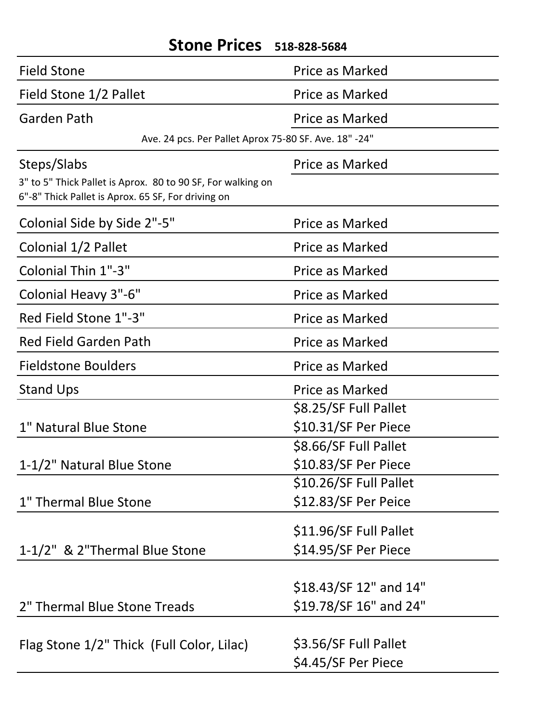| <b>Field Stone</b><br><b>Price as Marked</b><br>Field Stone 1/2 Pallet<br>Price as Marked<br><b>Garden Path</b><br><b>Price as Marked</b><br>Ave. 24 pcs. Per Pallet Aprox 75-80 SF. Ave. 18" -24"<br>Steps/Slabs<br>Price as Marked<br>3" to 5" Thick Pallet is Aprox. 80 to 90 SF, For walking on<br>6"-8" Thick Pallet is Aprox. 65 SF, For driving on<br>Colonial Side by Side 2"-5"<br>Price as Marked<br>Colonial 1/2 Pallet<br>Price as Marked<br>Colonial Thin 1"-3"<br><b>Price as Marked</b><br>Colonial Heavy 3"-6"<br>Price as Marked<br>Red Field Stone 1"-3"<br>Price as Marked<br><b>Red Field Garden Path</b><br>Price as Marked<br><b>Fieldstone Boulders</b><br>Price as Marked<br><b>Stand Ups</b><br>Price as Marked<br>\$8.25/SF Full Pallet<br>\$10.31/SF Per Piece<br>1" Natural Blue Stone<br>\$8.66/SF Full Pallet<br>\$10.83/SF Per Piece<br>1-1/2" Natural Blue Stone<br>\$10.26/SF Full Pallet<br>1" Thermal Blue Stone<br>\$12.83/SF Per Peice<br>\$11.96/SF Full Pallet<br>\$14.95/SF Per Piece<br>1-1/2" & 2"Thermal Blue Stone<br>\$18.43/SF 12" and 14"<br>\$19.78/SF 16" and 24"<br>2" Thermal Blue Stone Treads<br>\$3.56/SF Full Pallet<br>Flag Stone 1/2" Thick (Full Color, Lilac)<br>\$4.45/SF Per Piece | SLUTTE FILLES | 518-828-5684 |
|-------------------------------------------------------------------------------------------------------------------------------------------------------------------------------------------------------------------------------------------------------------------------------------------------------------------------------------------------------------------------------------------------------------------------------------------------------------------------------------------------------------------------------------------------------------------------------------------------------------------------------------------------------------------------------------------------------------------------------------------------------------------------------------------------------------------------------------------------------------------------------------------------------------------------------------------------------------------------------------------------------------------------------------------------------------------------------------------------------------------------------------------------------------------------------------------------------------------------------------------------|---------------|--------------|
|                                                                                                                                                                                                                                                                                                                                                                                                                                                                                                                                                                                                                                                                                                                                                                                                                                                                                                                                                                                                                                                                                                                                                                                                                                                 |               |              |
|                                                                                                                                                                                                                                                                                                                                                                                                                                                                                                                                                                                                                                                                                                                                                                                                                                                                                                                                                                                                                                                                                                                                                                                                                                                 |               |              |
|                                                                                                                                                                                                                                                                                                                                                                                                                                                                                                                                                                                                                                                                                                                                                                                                                                                                                                                                                                                                                                                                                                                                                                                                                                                 |               |              |
|                                                                                                                                                                                                                                                                                                                                                                                                                                                                                                                                                                                                                                                                                                                                                                                                                                                                                                                                                                                                                                                                                                                                                                                                                                                 |               |              |
|                                                                                                                                                                                                                                                                                                                                                                                                                                                                                                                                                                                                                                                                                                                                                                                                                                                                                                                                                                                                                                                                                                                                                                                                                                                 |               |              |
|                                                                                                                                                                                                                                                                                                                                                                                                                                                                                                                                                                                                                                                                                                                                                                                                                                                                                                                                                                                                                                                                                                                                                                                                                                                 |               |              |
|                                                                                                                                                                                                                                                                                                                                                                                                                                                                                                                                                                                                                                                                                                                                                                                                                                                                                                                                                                                                                                                                                                                                                                                                                                                 |               |              |
|                                                                                                                                                                                                                                                                                                                                                                                                                                                                                                                                                                                                                                                                                                                                                                                                                                                                                                                                                                                                                                                                                                                                                                                                                                                 |               |              |
|                                                                                                                                                                                                                                                                                                                                                                                                                                                                                                                                                                                                                                                                                                                                                                                                                                                                                                                                                                                                                                                                                                                                                                                                                                                 |               |              |
|                                                                                                                                                                                                                                                                                                                                                                                                                                                                                                                                                                                                                                                                                                                                                                                                                                                                                                                                                                                                                                                                                                                                                                                                                                                 |               |              |
|                                                                                                                                                                                                                                                                                                                                                                                                                                                                                                                                                                                                                                                                                                                                                                                                                                                                                                                                                                                                                                                                                                                                                                                                                                                 |               |              |
|                                                                                                                                                                                                                                                                                                                                                                                                                                                                                                                                                                                                                                                                                                                                                                                                                                                                                                                                                                                                                                                                                                                                                                                                                                                 |               |              |
|                                                                                                                                                                                                                                                                                                                                                                                                                                                                                                                                                                                                                                                                                                                                                                                                                                                                                                                                                                                                                                                                                                                                                                                                                                                 |               |              |
|                                                                                                                                                                                                                                                                                                                                                                                                                                                                                                                                                                                                                                                                                                                                                                                                                                                                                                                                                                                                                                                                                                                                                                                                                                                 |               |              |
|                                                                                                                                                                                                                                                                                                                                                                                                                                                                                                                                                                                                                                                                                                                                                                                                                                                                                                                                                                                                                                                                                                                                                                                                                                                 |               |              |
|                                                                                                                                                                                                                                                                                                                                                                                                                                                                                                                                                                                                                                                                                                                                                                                                                                                                                                                                                                                                                                                                                                                                                                                                                                                 |               |              |
|                                                                                                                                                                                                                                                                                                                                                                                                                                                                                                                                                                                                                                                                                                                                                                                                                                                                                                                                                                                                                                                                                                                                                                                                                                                 |               |              |
|                                                                                                                                                                                                                                                                                                                                                                                                                                                                                                                                                                                                                                                                                                                                                                                                                                                                                                                                                                                                                                                                                                                                                                                                                                                 |               |              |
|                                                                                                                                                                                                                                                                                                                                                                                                                                                                                                                                                                                                                                                                                                                                                                                                                                                                                                                                                                                                                                                                                                                                                                                                                                                 |               |              |
|                                                                                                                                                                                                                                                                                                                                                                                                                                                                                                                                                                                                                                                                                                                                                                                                                                                                                                                                                                                                                                                                                                                                                                                                                                                 |               |              |
|                                                                                                                                                                                                                                                                                                                                                                                                                                                                                                                                                                                                                                                                                                                                                                                                                                                                                                                                                                                                                                                                                                                                                                                                                                                 |               |              |
|                                                                                                                                                                                                                                                                                                                                                                                                                                                                                                                                                                                                                                                                                                                                                                                                                                                                                                                                                                                                                                                                                                                                                                                                                                                 |               |              |
|                                                                                                                                                                                                                                                                                                                                                                                                                                                                                                                                                                                                                                                                                                                                                                                                                                                                                                                                                                                                                                                                                                                                                                                                                                                 |               |              |
|                                                                                                                                                                                                                                                                                                                                                                                                                                                                                                                                                                                                                                                                                                                                                                                                                                                                                                                                                                                                                                                                                                                                                                                                                                                 |               |              |
|                                                                                                                                                                                                                                                                                                                                                                                                                                                                                                                                                                                                                                                                                                                                                                                                                                                                                                                                                                                                                                                                                                                                                                                                                                                 |               |              |
|                                                                                                                                                                                                                                                                                                                                                                                                                                                                                                                                                                                                                                                                                                                                                                                                                                                                                                                                                                                                                                                                                                                                                                                                                                                 |               |              |
|                                                                                                                                                                                                                                                                                                                                                                                                                                                                                                                                                                                                                                                                                                                                                                                                                                                                                                                                                                                                                                                                                                                                                                                                                                                 |               |              |
|                                                                                                                                                                                                                                                                                                                                                                                                                                                                                                                                                                                                                                                                                                                                                                                                                                                                                                                                                                                                                                                                                                                                                                                                                                                 |               |              |

### **Stone Prices 518-828-5684**